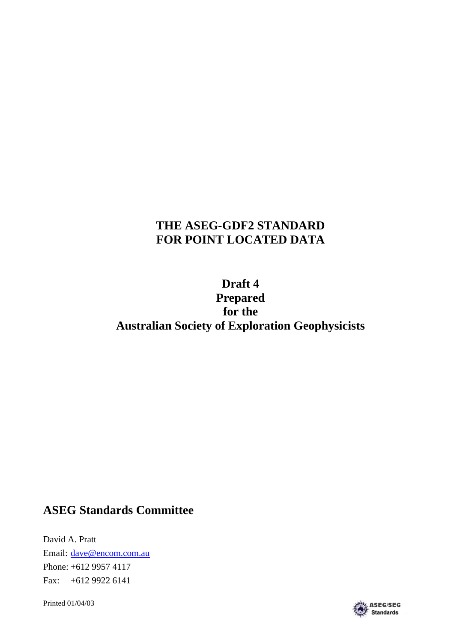# **THE ASEG-GDF2 STANDARD FOR POINT LOCATED DATA**

# **Draft 4 Prepared for the Australian Society of Exploration Geophysicists**

## **ASEG Standards Committee**

David A. Pratt Email: dave@encom.com.au Phone: +612 9957 4117 Fax: +612 9922 6141

Printed 01/04/03

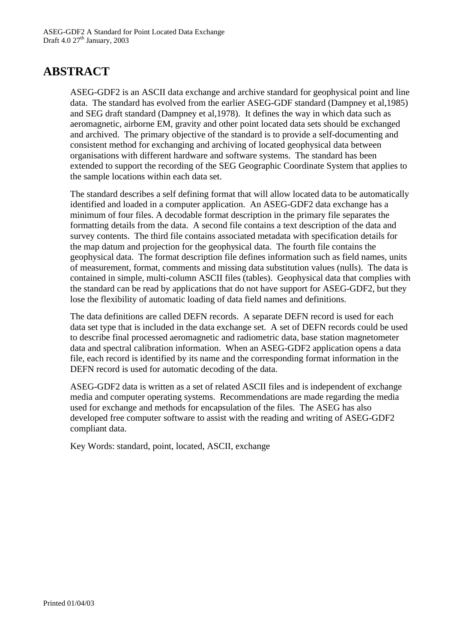## **ABSTRACT**

ASEG-GDF2 is an ASCII data exchange and archive standard for geophysical point and line data. The standard has evolved from the earlier ASEG-GDF standard (Dampney et al,1985) and SEG draft standard (Dampney et al,1978). It defines the way in which data such as aeromagnetic, airborne EM, gravity and other point located data sets should be exchanged and archived. The primary objective of the standard is to provide a self-documenting and consistent method for exchanging and archiving of located geophysical data between organisations with different hardware and software systems. The standard has been extended to support the recording of the SEG Geographic Coordinate System that applies to the sample locations within each data set.

The standard describes a self defining format that will allow located data to be automatically identified and loaded in a computer application. An ASEG-GDF2 data exchange has a minimum of four files. A decodable format description in the primary file separates the formatting details from the data. A second file contains a text description of the data and survey contents. The third file contains associated metadata with specification details for the map datum and projection for the geophysical data. The fourth file contains the geophysical data. The format description file defines information such as field names, units of measurement, format, comments and missing data substitution values (nulls). The data is contained in simple, multi-column ASCII files (tables). Geophysical data that complies with the standard can be read by applications that do not have support for ASEG-GDF2, but they lose the flexibility of automatic loading of data field names and definitions.

The data definitions are called DEFN records. A separate DEFN record is used for each data set type that is included in the data exchange set. A set of DEFN records could be used to describe final processed aeromagnetic and radiometric data, base station magnetometer data and spectral calibration information. When an ASEG-GDF2 application opens a data file, each record is identified by its name and the corresponding format information in the DEFN record is used for automatic decoding of the data.

ASEG-GDF2 data is written as a set of related ASCII files and is independent of exchange media and computer operating systems. Recommendations are made regarding the media used for exchange and methods for encapsulation of the files. The ASEG has also developed free computer software to assist with the reading and writing of ASEG-GDF2 compliant data.

Key Words: standard, point, located, ASCII, exchange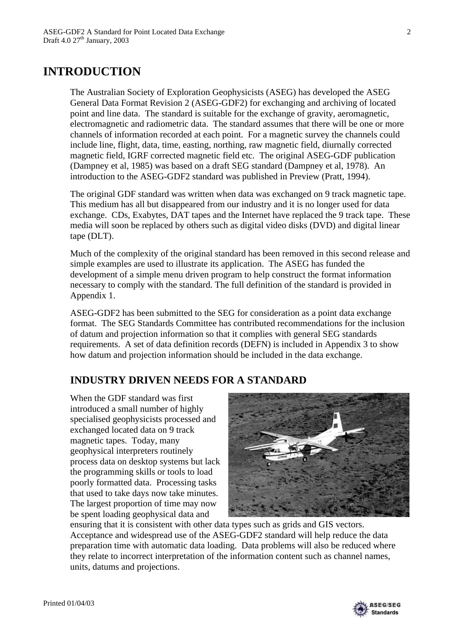## **INTRODUCTION**

The Australian Society of Exploration Geophysicists (ASEG) has developed the ASEG General Data Format Revision 2 (ASEG-GDF2) for exchanging and archiving of located point and line data. The standard is suitable for the exchange of gravity, aeromagnetic, electromagnetic and radiometric data. The standard assumes that there will be one or more channels of information recorded at each point. For a magnetic survey the channels could include line, flight, data, time, easting, northing, raw magnetic field, diurnally corrected magnetic field, IGRF corrected magnetic field etc. The original ASEG-GDF publication (Dampney et al, 1985) was based on a draft SEG standard (Dampney et al, 1978). An introduction to the ASEG-GDF2 standard was published in Preview (Pratt, 1994).

The original GDF standard was written when data was exchanged on 9 track magnetic tape. This medium has all but disappeared from our industry and it is no longer used for data exchange. CDs, Exabytes, DAT tapes and the Internet have replaced the 9 track tape. These media will soon be replaced by others such as digital video disks (DVD) and digital linear tape (DLT).

Much of the complexity of the original standard has been removed in this second release and simple examples are used to illustrate its application. The ASEG has funded the development of a simple menu driven program to help construct the format information necessary to comply with the standard. The full definition of the standard is provided in Appendix 1.

ASEG-GDF2 has been submitted to the SEG for consideration as a point data exchange format. The SEG Standards Committee has contributed recommendations for the inclusion of datum and projection information so that it complies with general SEG standards requirements. A set of data definition records (DEFN) is included in Appendix 3 to show how datum and projection information should be included in the data exchange.

### **INDUSTRY DRIVEN NEEDS FOR A STANDARD**

When the GDF standard was first introduced a small number of highly specialised geophysicists processed and exchanged located data on 9 track magnetic tapes. Today, many geophysical interpreters routinely process data on desktop systems but lack the programming skills or tools to load poorly formatted data. Processing tasks that used to take days now take minutes. The largest proportion of time may now be spent loading geophysical data and



ensuring that it is consistent with other data types such as grids and GIS vectors. Acceptance and widespread use of the ASEG-GDF2 standard will help reduce the data preparation time with automatic data loading. Data problems will also be reduced where they relate to incorrect interpretation of the information content such as channel names, units, datums and projections.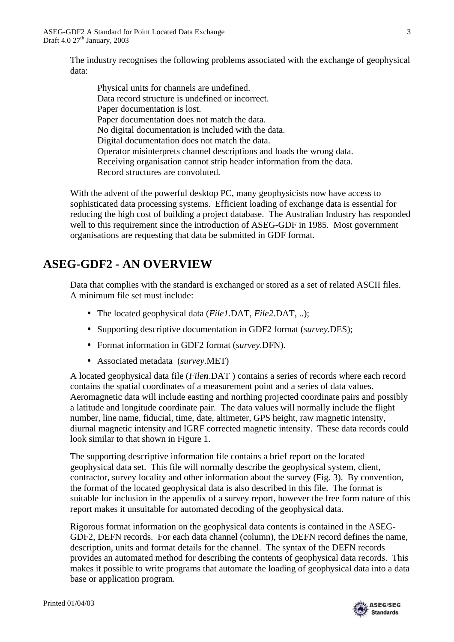The industry recognises the following problems associated with the exchange of geophysical data:

Physical units for channels are undefined. Data record structure is undefined or incorrect. Paper documentation is lost. Paper documentation does not match the data. No digital documentation is included with the data. Digital documentation does not match the data. Operator misinterprets channel descriptions and loads the wrong data. Receiving organisation cannot strip header information from the data. Record structures are convoluted.

With the advent of the powerful desktop PC, many geophysicists now have access to sophisticated data processing systems. Efficient loading of exchange data is essential for reducing the high cost of building a project database. The Australian Industry has responded well to this requirement since the introduction of ASEG-GDF in 1985. Most government organisations are requesting that data be submitted in GDF format.

# **ASEG-GDF2 - AN OVERVIEW**

Data that complies with the standard is exchanged or stored as a set of related ASCII files. A minimum file set must include:

- The located geophysical data (*File1*.DAT, *File2*.DAT, ..);
- Supporting descriptive documentation in GDF2 format (*survey*.DES);
- Format information in GDF2 format (*survey*.DFN).
- Associated metadata (*survey*.MET)

A located geophysical data file (*Filen*.DAT ) contains a series of records where each record contains the spatial coordinates of a measurement point and a series of data values. Aeromagnetic data will include easting and northing projected coordinate pairs and possibly a latitude and longitude coordinate pair. The data values will normally include the flight number, line name, fiducial, time, date, altimeter, GPS height, raw magnetic intensity, diurnal magnetic intensity and IGRF corrected magnetic intensity. These data records could look similar to that shown in Figure 1.

The supporting descriptive information file contains a brief report on the located geophysical data set. This file will normally describe the geophysical system, client, contractor, survey locality and other information about the survey (Fig. 3). By convention, the format of the located geophysical data is also described in this file. The format is suitable for inclusion in the appendix of a survey report, however the free form nature of this report makes it unsuitable for automated decoding of the geophysical data.

Rigorous format information on the geophysical data contents is contained in the ASEG-GDF2, DEFN records. For each data channel (column), the DEFN record defines the name, description, units and format details for the channel. The syntax of the DEFN records provides an automated method for describing the contents of geophysical data records. This makes it possible to write programs that automate the loading of geophysical data into a data base or application program.

**ASEG/SEG** Standards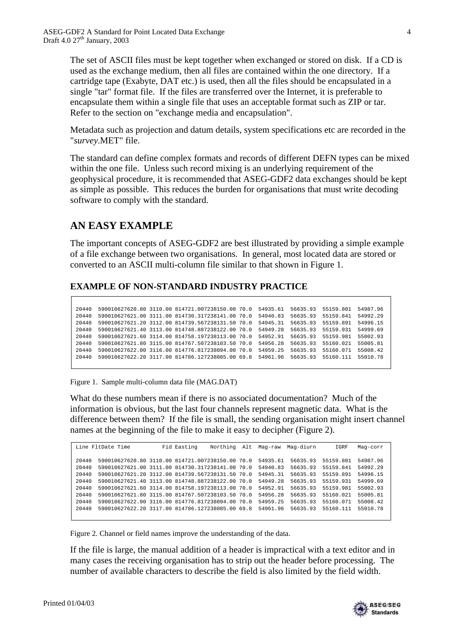The set of ASCII files must be kept together when exchanged or stored on disk. If a CD is used as the exchange medium, then all files are contained within the one directory. If a cartridge tape (Exabyte, DAT etc.) is used, then all the files should be encapsulated in a single "tar" format file. If the files are transferred over the Internet, it is preferable to encapsulate them within a single file that uses an acceptable format such as ZIP or tar. Refer to the section on "exchange media and encapsulation".

Metadata such as projection and datum details, system specifications etc are recorded in the "*survey*.MET" file.

The standard can define complex formats and records of different DEFN types can be mixed within the one file. Unless such record mixing is an underlying requirement of the geophysical procedure, it is recommended that ASEG-GDF2 data exchanges should be kept as simple as possible. This reduces the burden for organisations that must write decoding software to comply with the standard.

## **AN EASY EXAMPLE**

The important concepts of ASEG-GDF2 are best illustrated by providing a simple example of a file exchange between two organisations. In general, most located data are stored or converted to an ASCII multi-column file similar to that shown in Figure 1.

### **EXAMPLE OF NON-STANDARD INDUSTRY PRACTICE**

20440 590010627620.80 3110.00 814721.007238150.00 70.0 54935.61 56635.93 55159.801 54987.96 20440 590010627621.00 3111.00 814730.317238141.00 70.0 54940.83 56635.93 55159.841 54992.29 20440 590010627621.20 3112.00 814739.567238131.50 70.0 54945.31 56635.93 55159.891 54996.15 20440 590010627621.40 3113.00 814748.887238122.00 70.0 54949.28 56635.93 55159.931 54999.69 20440 590010627621.60 3114.00 814758.197238113.00 70.0 54952.91 56635.93 55159.981 55002.93 20440 590010627621.80 3115.00 814767.507238103.50 70.0 54956.28 56635.93 55160.021 55005.81 20440 590010627622.00 3116.00 814776.817238094.00 70.0 54959.25 56635.93 55160.071 55008.42 20440 590010627622.20 3117.00 814786.127238085.00 69.8 54961.96 56635.93 55160.111 55010.78

Figure 1. Sample multi-column data file (MAG.DAT)

What do these numbers mean if there is no associated documentation? Much of the information is obvious, but the last four channels represent magnetic data. What is the difference between them? If the file is small, the sending organisation might insert channel names at the beginning of the file to make it easy to decipher (Figure 2).

| Line FltDate Time | Fid Easting                                      | Northing | Alt Maq-raw | Mag-diurn | IGRF      | Mag-corr |
|-------------------|--------------------------------------------------|----------|-------------|-----------|-----------|----------|
|                   |                                                  |          |             |           |           |          |
| 20440             | 590010627620.80 3110.00 814721.007238150.00 70.0 |          | 54935.61    | 56635.93  | 55159.801 | 54987.96 |
| 20440             | 590010627621.00 3111.00 814730.317238141.00 70.0 |          | 54940.83    | 56635.93  | 55159.841 | 54992.29 |
| 20440             | 590010627621.20 3112.00 814739.567238131.50 70.0 |          | 54945.31    | 56635.93  | 55159.891 | 54996.15 |
| 20440             | 590010627621.40 3113.00 814748.887238122.00 70.0 |          | 54949.28    | 56635.93  | 55159.931 | 54999.69 |
| 20440             | 590010627621.60 3114.00 814758.197238113.00 70.0 |          | 54952.91    | 56635.93  | 55159.981 | 55002.93 |
| 20440             | 590010627621.80 3115.00 814767.507238103.50 70.0 |          | 54956.28    | 56635.93  | 55160.021 | 55005.81 |
| 20440             | 590010627622.00 3116.00 814776.817238094.00 70.0 |          | 54959.25    | 56635.93  | 55160.071 | 55008.42 |
| 20440             | 590010627622.20 3117.00 814786.127238085.00 69.8 |          | 54961.96    | 56635.93  | 55160.111 | 55010.78 |
|                   |                                                  |          |             |           |           |          |

Figure 2. Channel or field names improve the understanding of the data.

If the file is large, the manual addition of a header is impractical with a text editor and in many cases the receiving organisation has to strip out the header before processing. The number of available characters to describe the field is also limited by the field width.

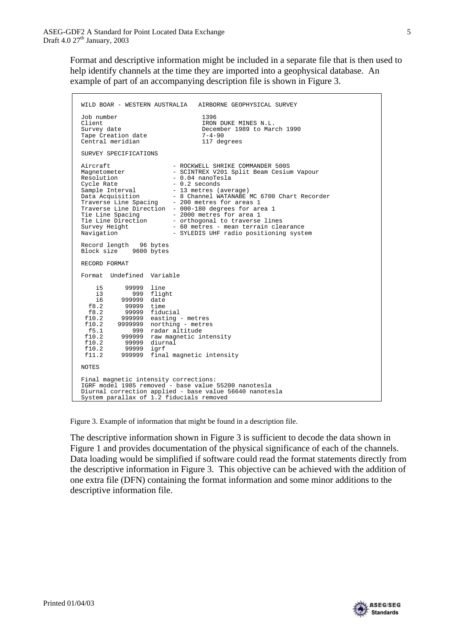Format and descriptive information might be included in a separate file that is then used to help identify channels at the time they are imported into a geophysical database. An example of part of an accompanying description file is shown in Figure 3.

```
WILD BOAR - WESTERN AUSTRALIA AIRBORNE GEOPHYSICAL SURVEY 
Job number 1396 
Client IRON DUKE MINES N.L.
                              December 1989 to March 1990<br>7-4-90
Tape Creation date 7-4-90 
Central meridian
SURVEY SPECIFICATIONS 
Aircraft - ROCKWELL SHRIKE COMMANDER 500S
Magnetometer               - SCINTREX V201 Split Beam Cesium Vapour
Resolution - 0.04 nanoTesla
Cycle Rate -0.2 seconds
Sample Interval - 13 metres (average)
Data Acquisition - 8 Channel WATANABE MC 6700 Chart Recorder
Traverse Line Spacing - 200 metres for areas 1
Traverse Line Direction - 000-180 degrees for area 1 
Tie Line Spacing         – 2000 metres for area 1<br>Tie Line Direction       – orthogonal to traverse lines
Survey Height - 60 metres - mean terrain clearance
Navigation - SYLEDIS UHF radio positioning system
Record length 96 bytes 
Block size 9600 bytes 
RECORD FORMAT 

Format Undefined Variable 
    i5 99999 line 
    i3 999 flight 
 i6 999999 date 
 f8.2 99999 time 
 f8.2 99999 fiducial 
 f10.2 999999 easting - metres 
 f10.2 9999999 northing - metres 
 f5.1 999 radar altitude 
 f10.2 999999 raw magnetic intensity 
 f10.2 99999 diurnal 
 f10.2 99999 igrf 
 f11.2 999999 final magnetic intensity 
NOTES 
Final magnetic intensity corrections: 
IGRF model 1985 removed - base value 55200 nanotesla 
Diurnal correction applied - base value 56640 nanotesla 
System parallax of 1.2 fiducials removed
```
Figure 3. Example of information that might be found in a description file.

The descriptive information shown in Figure 3 is sufficient to decode the data shown in Figure 1 and provides documentation of the physical significance of each of the channels. Data loading would be simplified if software could read the format statements directly from the descriptive information in Figure 3. This objective can be achieved with the addition of one extra file (DFN) containing the format information and some minor additions to the descriptive information file.

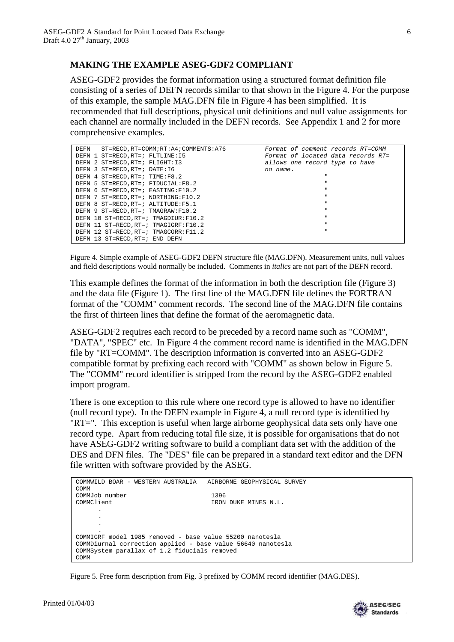### **MAKING THE EXAMPLE ASEG-GDF2 COMPLIANT**

ASEG-GDF2 provides the format information using a structured format definition file consisting of a series of DEFN records similar to that shown in the Figure 4. For the purpose of this example, the sample MAG.DFN file in Figure 4 has been simplified. It is recommended that full descriptions, physical unit definitions and null value assignments for each channel are normally included in the DEFN records. See Appendix 1 and 2 for more comprehensive examples.

| ST=RECD.RT=COMM;RT:A4;COMMENTS:A76<br>DEFN | Format of comment records RT=COMM  |
|--------------------------------------------|------------------------------------|
| DEFN 1 ST=RECD, RT=; FLTLINE: 15           | Format of located data records RT= |
| DEFN 2 ST=RECD, RT=; FLIGHT: I3            | allows one record type to have     |
| DEFN 3 ST=RECD, RT=; DATE: 16              | no name.                           |
| DEFN 4 ST=RECD, RT=; TIME:F8.2             | $\mathbf{H}$                       |
| DEFN 5 ST=RECD, RT=; FIDUCIAL: F8.2        | $\mathbf{u}$                       |
| DEFN 6 ST=RECD.RT=; EASTING:F10.2          | $\mathbf{u}$                       |
| DEFN 7 ST=RECD.RT=; NORTHING:F10.2         | $\mathbf{H}$                       |
| DEFN 8 ST=RECD.RT=; ALTITUDE:F5.1          | $\mathbf{u}$                       |
| DEFN 9 ST=RECD, RT=; TMAGRAW: F10.2        | $\mathbf{u}$                       |
| DEFN 10 ST=RECD.RT=; TMAGDIUR:F10.2        | $\mathbf{u}$                       |
| DEFN 11 ST=RECD, RT=; TMAGIGRF: F10.2      | $\mathbf{u}$                       |
| DEFN 12 ST=RECD.RT=; TMAGCORR:F11.2        | $\mathbf{u}$                       |
| DEFN 13 ST=RECD.RT=; END DEFN              |                                    |

Figure 4. Simple example of ASEG-GDF2 DEFN structure file (MAG.DFN). Measurement units, null values and field descriptions would normally be included. Comments in *italics* are not part of the DEFN record.

This example defines the format of the information in both the description file (Figure 3) and the data file (Figure 1). The first line of the MAG.DFN file defines the FORTRAN format of the "COMM" comment records. The second line of the MAG.DFN file contains the first of thirteen lines that define the format of the aeromagnetic data.

ASEG-GDF2 requires each record to be preceded by a record name such as "COMM", "DATA", "SPEC" etc. In Figure 4 the comment record name is identified in the MAG.DFN file by "RT=COMM". The description information is converted into an ASEG-GDF2 compatible format by prefixing each record with "COMM" as shown below in Figure 5. The "COMM" record identifier is stripped from the record by the ASEG-GDF2 enabled import program.

There is one exception to this rule where one record type is allowed to have no identifier (null record type). In the DEFN example in Figure 4, a null record type is identified by "RT=". This exception is useful when large airborne geophysical data sets only have one record type. Apart from reducing total file size, it is possible for organisations that do not have ASEG-GDF2 writing software to build a compliant data set with the addition of the DES and DFN files. The "DES" file can be prepared in a standard text editor and the DFN file written with software provided by the ASEG.

```
COMMWILD BOAR - WESTERN AUSTRALIA AIRBORNE GEOPHYSICAL SURVEY 
COMM 
COMMJob number 1396<br>
COMMClient 1200
                                      IRON DUKE MINES N.L.
      .
      .
      .
      .
COMMIGRF model 1985 removed - base value 55200 nanotesla 
COMMDiurnal correction applied - base value 56640 nanotesla 
COMMSystem parallax of 1.2 fiducials removed 
COMM
```
Figure 5. Free form description from Fig. 3 prefixed by COMM record identifier (MAG.DES).

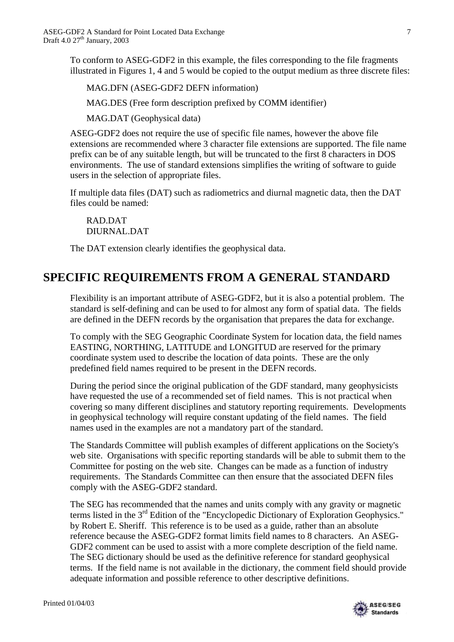To conform to ASEG-GDF2 in this example, the files corresponding to the file fragments illustrated in Figures 1, 4 and 5 would be copied to the output medium as three discrete files:

MAG.DFN (ASEG-GDF2 DEFN information)

MAG.DES (Free form description prefixed by COMM identifier)

MAG.DAT (Geophysical data)

ASEG-GDF2 does not require the use of specific file names, however the above file extensions are recommended where 3 character file extensions are supported. The file name prefix can be of any suitable length, but will be truncated to the first 8 characters in DOS environments. The use of standard extensions simplifies the writing of software to guide users in the selection of appropriate files.

If multiple data files (DAT) such as radiometrics and diurnal magnetic data, then the DAT files could be named:

RAD.DAT DIURNAL.DAT

The DAT extension clearly identifies the geophysical data.

## **SPECIFIC REQUIREMENTS FROM A GENERAL STANDARD**

Flexibility is an important attribute of ASEG-GDF2, but it is also a potential problem. The standard is self-defining and can be used to for almost any form of spatial data. The fields are defined in the DEFN records by the organisation that prepares the data for exchange.

To comply with the SEG Geographic Coordinate System for location data, the field names EASTING, NORTHING, LATITUDE and LONGITUD are reserved for the primary coordinate system used to describe the location of data points. These are the only predefined field names required to be present in the DEFN records.

During the period since the original publication of the GDF standard, many geophysicists have requested the use of a recommended set of field names. This is not practical when covering so many different disciplines and statutory reporting requirements. Developments in geophysical technology will require constant updating of the field names. The field names used in the examples are not a mandatory part of the standard.

The Standards Committee will publish examples of different applications on the Society's web site. Organisations with specific reporting standards will be able to submit them to the Committee for posting on the web site. Changes can be made as a function of industry requirements. The Standards Committee can then ensure that the associated DEFN files comply with the ASEG-GDF2 standard.

The SEG has recommended that the names and units comply with any gravity or magnetic terms listed in the 3<sup>rd</sup> Edition of the "Encyclopedic Dictionary of Exploration Geophysics." by Robert E. Sheriff. This reference is to be used as a guide, rather than an absolute reference because the ASEG-GDF2 format limits field names to 8 characters. An ASEG-GDF2 comment can be used to assist with a more complete description of the field name. The SEG dictionary should be used as the definitive reference for standard geophysical terms. If the field name is not available in the dictionary, the comment field should provide adequate information and possible reference to other descriptive definitions.

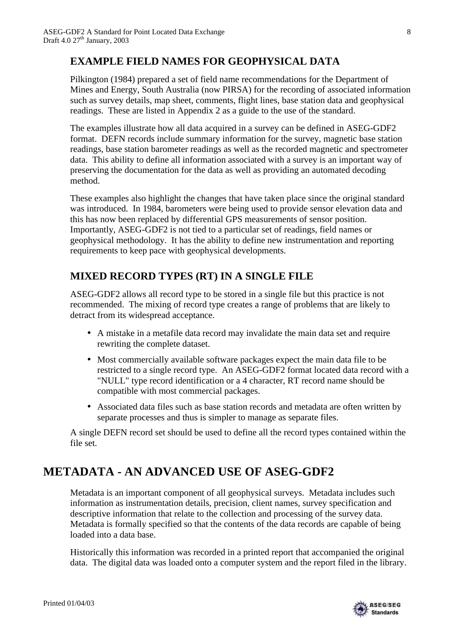## **EXAMPLE FIELD NAMES FOR GEOPHYSICAL DATA**

Pilkington (1984) prepared a set of field name recommendations for the Department of Mines and Energy, South Australia (now PIRSA) for the recording of associated information such as survey details, map sheet, comments, flight lines, base station data and geophysical readings. These are listed in Appendix 2 as a guide to the use of the standard.

The examples illustrate how all data acquired in a survey can be defined in ASEG-GDF2 format. DEFN records include summary information for the survey, magnetic base station readings, base station barometer readings as well as the recorded magnetic and spectrometer data. This ability to define all information associated with a survey is an important way of preserving the documentation for the data as well as providing an automated decoding method.

These examples also highlight the changes that have taken place since the original standard was introduced. In 1984, barometers were being used to provide sensor elevation data and this has now been replaced by differential GPS measurements of sensor position. Importantly, ASEG-GDF2 is not tied to a particular set of readings, field names or geophysical methodology. It has the ability to define new instrumentation and reporting requirements to keep pace with geophysical developments.

## **MIXED RECORD TYPES (RT) IN A SINGLE FILE**

ASEG-GDF2 allows all record type to be stored in a single file but this practice is not recommended. The mixing of record type creates a range of problems that are likely to detract from its widespread acceptance.

- A mistake in a metafile data record may invalidate the main data set and require rewriting the complete dataset.
- Most commercially available software packages expect the main data file to be restricted to a single record type. An ASEG-GDF2 format located data record with a "NULL" type record identification or a 4 character, RT record name should be compatible with most commercial packages.
- Associated data files such as base station records and metadata are often written by separate processes and thus is simpler to manage as separate files.

A single DEFN record set should be used to define all the record types contained within the file set.

# **METADATA - AN ADVANCED USE OF ASEG-GDF2**

Metadata is an important component of all geophysical surveys. Metadata includes such information as instrumentation details, precision, client names, survey specification and descriptive information that relate to the collection and processing of the survey data. Metadata is formally specified so that the contents of the data records are capable of being loaded into a data base.

Historically this information was recorded in a printed report that accompanied the original data. The digital data was loaded onto a computer system and the report filed in the library.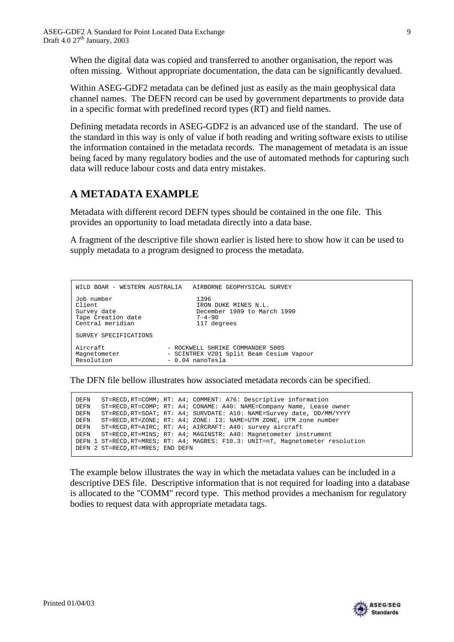When the digital data was copied and transferred to another organisation, the report was often missing. Without appropriate documentation, the data can be significantly devalued.

Within ASEG-GDF2 metadata can be defined just as easily as the main geophysical data channel names. The DEFN record can be used by government departments to provide data in a specific format with predefined record types (RT) and field names.

Defining metadata records in ASEG-GDF2 is an advanced use of the standard. The use of the standard in this way is only of value if both reading and writing software exists to utilise the information contained in the metadata records. The management of metadata is an issue being faced by many regulatory bodies and the use of automated methods for capturing such data will reduce labour costs and data entry mistakes.

### **A METADATA EXAMPLE**

Metadata with different record DEFN types should be contained in the one file. This provides an opportunity to load metadata directly into a data base.

A fragment of the descriptive file shown earlier is listed here to show how it can be used to supply metadata to a program designed to process the metadata.

| WILD BOAR - WESTERN AUSTRALIA | AIRBORNE GEOPHYSICAL SURVEY              |
|-------------------------------|------------------------------------------|
| Job number                    | 1396                                     |
| Client                        | IRON DUKE MINES N.L.                     |
| Survey date                   | December 1989 to March 1990              |
| Tape Creation date            | $7 - 4 - 90$                             |
| Central meridian              | 117 degrees                              |
| SURVEY SPECIFICATIONS         |                                          |
| Aircraft                      | - ROCKWELL SHRIKE COMMANDER 500S         |
| Magnetometer                  | - SCINTREX V201 Split Beam Cesium Vapour |
| Resolution                    | - 0.04 nanoTesla                         |

The DFN file bellow illustrates how associated metadata records can be specified.

DEFN ST=RECD,RT=COMM; RT: A4; COMMENT: A76: Descriptive information ST=RECD, RT=COMP; RT: A4; CONAME: A40: NAME=Company Name, Lease owner DEFN ST=RECD,RT=SDAT; RT: A4; SURVDATE: A10: NAME=Survey date, DD/MM/YYYY DEFN ST=RECD,RT=ZONE; RT: A4; ZONE: I3: NAME=UTM ZONE, UTM zone number DEFN ST=RECD,RT=AIRC; RT: A4; AIRCRAFT: A40: survey aircraft DEFN ST=RECD,RT=MINS; RT: A4; MAGINSTR: A40: Magnetometer instrument DEFN 1 ST=RECD,RT=MRES; RT: A4; MAGRES: F10.3: UNIT=nT, Magnetometer resolution DEFN 2 ST=RECD,RT=MRES; END DEFN

The example below illustrates the way in which the metadata values can be included in a descriptive DES file. Descriptive information that is not required for loading into a database is allocated to the "COMM" record type. This method provides a mechanism for regulatory bodies to request data with appropriate metadata tags.

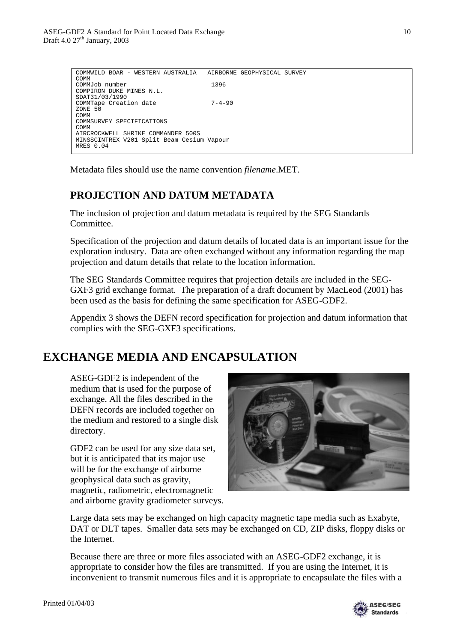| COMMWILD BOAR - WESTERN AUSTRALIA          |              | AIRBORNE GEOPHYSICAL SURVEY |  |
|--------------------------------------------|--------------|-----------------------------|--|
| COMM                                       |              |                             |  |
| COMMJob number                             | 1396         |                             |  |
| COMPIRON DUKE MINES N.L.                   |              |                             |  |
| SDAT31/03/1990                             |              |                             |  |
| COMMTape Creation date                     | $7 - 4 - 90$ |                             |  |
| ZONE 50                                    |              |                             |  |
| COMM                                       |              |                             |  |
| COMMSURVEY SPECIFICATIONS                  |              |                             |  |
| COMM                                       |              |                             |  |
| AIRCROCKWELL SHRIKE COMMANDER 500S         |              |                             |  |
| MINSSCINTREX V201 Split Beam Cesium Vapour |              |                             |  |
| MRES $0.04$                                |              |                             |  |

Metadata files should use the name convention *filename*.MET.

## **PROJECTION AND DATUM METADATA**

The inclusion of projection and datum metadata is required by the SEG Standards Committee.

Specification of the projection and datum details of located data is an important issue for the exploration industry. Data are often exchanged without any information regarding the map projection and datum details that relate to the location information.

The SEG Standards Committee requires that projection details are included in the SEG-GXF3 grid exchange format. The preparation of a draft document by MacLeod (2001) has been used as the basis for defining the same specification for ASEG-GDF2.

Appendix 3 shows the DEFN record specification for projection and datum information that complies with the SEG-GXF3 specifications.

# **EXCHANGE MEDIA AND ENCAPSULATION**

ASEG-GDF2 is independent of the medium that is used for the purpose of exchange. All the files described in the DEFN records are included together on the medium and restored to a single disk directory.

GDF2 can be used for any size data set, but it is anticipated that its major use will be for the exchange of airborne geophysical data such as gravity, magnetic, radiometric, electromagnetic and airborne gravity gradiometer surveys.



Large data sets may be exchanged on high capacity magnetic tape media such as Exabyte, DAT or DLT tapes. Smaller data sets may be exchanged on CD, ZIP disks, floppy disks or the Internet.

Because there are three or more files associated with an ASEG-GDF2 exchange, it is appropriate to consider how the files are transmitted. If you are using the Internet, it is inconvenient to transmit numerous files and it is appropriate to encapsulate the files with a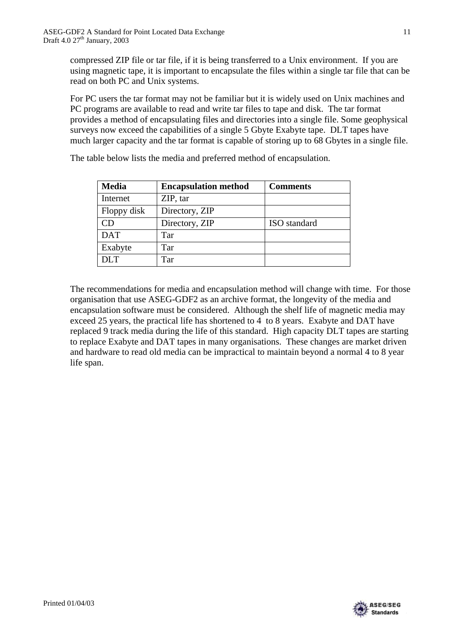compressed ZIP file or tar file, if it is being transferred to a Unix environment. If you are using magnetic tape, it is important to encapsulate the files within a single tar file that can be read on both PC and Unix systems.

For PC users the tar format may not be familiar but it is widely used on Unix machines and PC programs are available to read and write tar files to tape and disk. The tar format provides a method of encapsulating files and directories into a single file. Some geophysical surveys now exceed the capabilities of a single 5 Gbyte Exabyte tape. DLT tapes have much larger capacity and the tar format is capable of storing up to 68 Gbytes in a single file.

**Media Encapsulation method Comments** Internet ZIP, tar Floppy disk Directory, ZIP CD Directory, ZIP ISO standard DAT Tar Exabyte Tar DLT Tar

The table below lists the media and preferred method of encapsulation.

The recommendations for media and encapsulation method will change with time. For those organisation that use ASEG-GDF2 as an archive format, the longevity of the media and encapsulation software must be considered. Although the shelf life of magnetic media may exceed 25 years, the practical life has shortened to 4 to 8 years. Exabyte and DAT have replaced 9 track media during the life of this standard. High capacity DLT tapes are starting to replace Exabyte and DAT tapes in many organisations. These changes are market driven and hardware to read old media can be impractical to maintain beyond a normal 4 to 8 year life span.

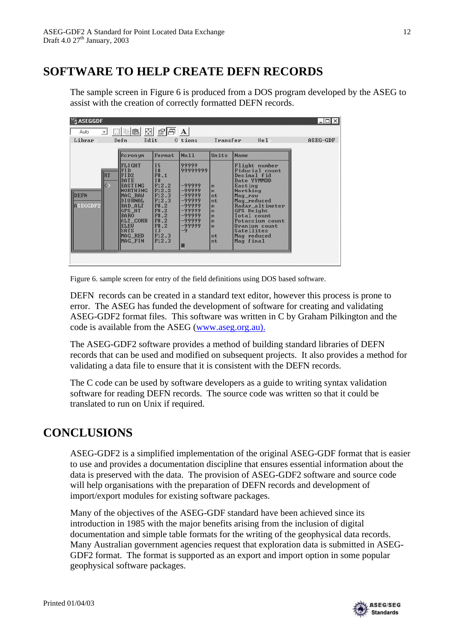## **SOFTWARE TO HELP CREATE DEFN RECORDS**

The sample screen in Figure 6 is produced from a DOS program developed by the ASEG to assist with the creation of correctly formatted DEFN records.

| <b>闣ASEGGDF</b>                                     |                                                                                                                                                                                                                                             |                                                                                                                                                                                  |                                                                                                                           |                                                           |                                                                                                                                                                                                                                                            | $ \Box$ $\times$ |
|-----------------------------------------------------|---------------------------------------------------------------------------------------------------------------------------------------------------------------------------------------------------------------------------------------------|----------------------------------------------------------------------------------------------------------------------------------------------------------------------------------|---------------------------------------------------------------------------------------------------------------------------|-----------------------------------------------------------|------------------------------------------------------------------------------------------------------------------------------------------------------------------------------------------------------------------------------------------------------------|------------------|
| Auto                                                | 剾<br>田田亀                                                                                                                                                                                                                                    | 图円                                                                                                                                                                               | A                                                                                                                         |                                                           |                                                                                                                                                                                                                                                            |                  |
| Librar                                              | Edit<br>Defn                                                                                                                                                                                                                                |                                                                                                                                                                                  | 0 tions                                                                                                                   | Transfer                                                  | He1                                                                                                                                                                                                                                                        | ASEG-GDF         |
|                                                     | Acronym                                                                                                                                                                                                                                     | Format                                                                                                                                                                           | <b>Nu11</b>                                                                                                               | Units                                                     | <b>Name</b>                                                                                                                                                                                                                                                |                  |
| <b>RT</b><br>k><br><b>IDEFN</b><br>$\Gamma$ SEGGDF2 | <b>FLIGHT</b><br><b>FID</b><br>FID <sub>2</sub><br><b>DATE</b><br><b>EASTING</b><br><b>NORTHING</b><br><b>MAG RAW</b><br><b>DIURNAL</b><br>RAD ALT<br>GPS HT<br><b>BARO</b><br>ALT_CORR<br><b>ELEU</b><br><b>SATS</b><br>MAG RED<br>MAG FIN | 15<br><b>I8</b><br>F8.1<br><b>I8</b><br>F12.2<br>F12.2<br>F12.3<br>F <sub>12.3</sub><br><b>F8.2</b><br>F8.2<br><b>F8.2</b><br><b>F8.2</b><br><b>F8.2</b><br>13<br>F12.3<br>F12.3 | 99999<br>99999999<br>-99999<br>-99999<br>$-99999$<br>$-99999$<br>-99999<br>-99999<br>-99999<br>$-99999$<br>-99999<br>$-9$ | m<br>m<br>nt<br>nt.<br>m<br>m<br>m<br>m<br>m<br>nt<br>nt: | Flight number<br><b>Fiducial</b> count<br>Decimal fid<br>Date YYMMDD<br>Easting<br>Northing<br>Mag_raw<br>Mag reduced<br>Radar altimeter<br>GPS Height<br>Total count<br>Potassium count<br>Uranium count<br><b>Satellites</b><br>Mag reduced<br>Mag final |                  |

Figure 6. sample screen for entry of the field definitions using DOS based software.

DEFN records can be created in a standard text editor, however this process is prone to error. The ASEG has funded the development of software for creating and validating ASEG-GDF2 format files. This software was written in C by Graham Pilkington and the code is available from the ASEG (www.aseg.org.au).

The ASEG-GDF2 software provides a method of building standard libraries of DEFN records that can be used and modified on subsequent projects. It also provides a method for validating a data file to ensure that it is consistent with the DEFN records.

The C code can be used by software developers as a guide to writing syntax validation software for reading DEFN records. The source code was written so that it could be translated to run on Unix if required.

## **CONCLUSIONS**

ASEG-GDF2 is a simplified implementation of the original ASEG-GDF format that is easier to use and provides a documentation discipline that ensures essential information about the data is preserved with the data. The provision of ASEG-GDF2 software and source code will help organisations with the preparation of DEFN records and development of import/export modules for existing software packages.

Many of the objectives of the ASEG-GDF standard have been achieved since its introduction in 1985 with the major benefits arising from the inclusion of digital documentation and simple table formats for the writing of the geophysical data records. Many Australian government agencies request that exploration data is submitted in ASEG-GDF2 format. The format is supported as an export and import option in some popular geophysical software packages.

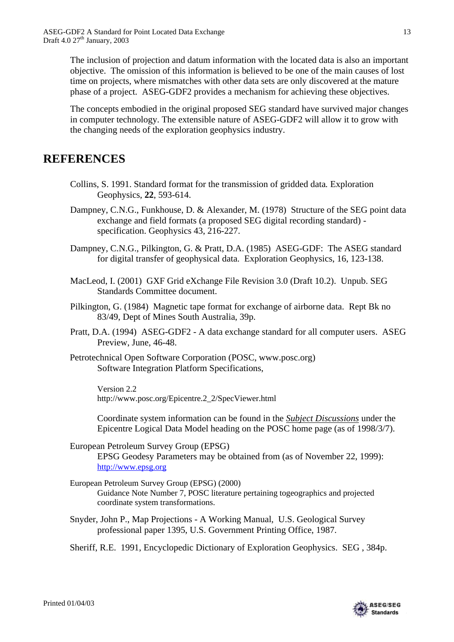The inclusion of projection and datum information with the located data is also an important objective. The omission of this information is believed to be one of the main causes of lost time on projects, where mismatches with other data sets are only discovered at the mature phase of a project. ASEG-GDF2 provides a mechanism for achieving these objectives.

The concepts embodied in the original proposed SEG standard have survived major changes in computer technology. The extensible nature of ASEG-GDF2 will allow it to grow with the changing needs of the exploration geophysics industry.

## **REFERENCES**

- Collins, S. 1991. Standard format for the transmission of gridded data*.* Exploration Geophysics, **22**, 593-614.
- Dampney, C.N.G., Funkhouse, D. & Alexander, M. (1978) Structure of the SEG point data exchange and field formats (a proposed SEG digital recording standard) specification. Geophysics 43, 216-227.
- Dampney, C.N.G., Pilkington, G. & Pratt, D.A. (1985) ASEG-GDF: The ASEG standard for digital transfer of geophysical data. Exploration Geophysics, 16, 123-138.
- MacLeod, I. (2001) GXF Grid eXchange File Revision 3.0 (Draft 10.2). Unpub. SEG Standards Committee document.
- Pilkington, G. (1984) Magnetic tape format for exchange of airborne data. Rept Bk no 83/49, Dept of Mines South Australia, 39p.
- Pratt, D.A. (1994) ASEG-GDF2 A data exchange standard for all computer users. ASEG Preview, June, 46-48.
- Petrotechnical Open Software Corporation (POSC, www.posc.org) Software Integration Platform Specifications,

Version 2.2 http://www.posc.org/Epicentre.2\_2/SpecViewer.html

Coordinate system information can be found in the *Subject Discussions* under the Epicentre Logical Data Model heading on the POSC home page (as of 1998/3/7).

- European Petroleum Survey Group (EPSG) EPSG Geodesy Parameters may be obtained from (as of November 22, 1999): http://www.epsg.org
- European Petroleum Survey Group (EPSG) (2000) Guidance Note Number 7, POSC literature pertaining togeographics and projected coordinate system transformations.
- Snyder, John P., Map Projections A Working Manual, U.S. Geological Survey professional paper 1395, U.S. Government Printing Office, 1987.
- Sheriff, R.E. 1991, Encyclopedic Dictionary of Exploration Geophysics. SEG , 384p.

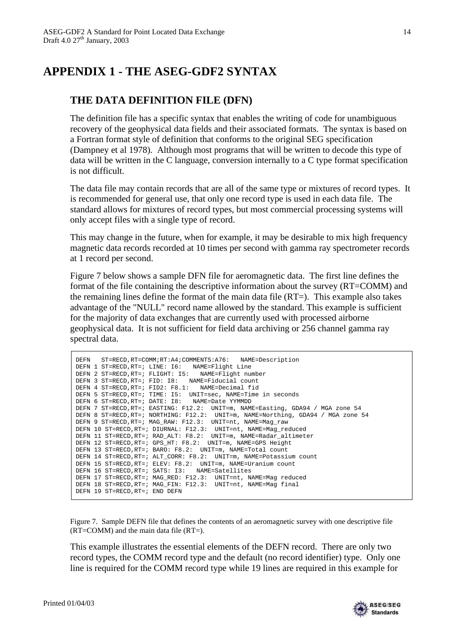# **APPENDIX 1 - THE ASEG-GDF2 SYNTAX**

### **THE DATA DEFINITION FILE (DFN)**

The definition file has a specific syntax that enables the writing of code for unambiguous recovery of the geophysical data fields and their associated formats. The syntax is based on a Fortran format style of definition that conforms to the original SEG specification (Dampney et al 1978). Although most programs that will be written to decode this type of data will be written in the C language, conversion internally to a C type format specification is not difficult.

The data file may contain records that are all of the same type or mixtures of record types. It is recommended for general use, that only one record type is used in each data file. The standard allows for mixtures of record types, but most commercial processing systems will only accept files with a single type of record.

This may change in the future, when for example, it may be desirable to mix high frequency magnetic data records recorded at 10 times per second with gamma ray spectrometer records at 1 record per second.

Figure 7 below shows a sample DFN file for aeromagnetic data. The first line defines the format of the file containing the descriptive information about the survey (RT=COMM) and the remaining lines define the format of the main data file (RT=). This example also takes advantage of the "NULL" record name allowed by the standard. This example is sufficient for the majority of data exchanges that are currently used with processed airborne geophysical data. It is not sufficient for field data archiving or 256 channel gamma ray spectral data.

| DEFN ST=RECD, RT=COMM; RT: A4; COMMENTS: A76: NAME=Description                   |
|----------------------------------------------------------------------------------|
| DEFN 1 ST=RECD, RT=; LINE: I6: NAME=Flight Line                                  |
| DEFN 2 ST=RECD, RT=; FLIGHT: I5: NAME=Flight number                              |
| DEFN 3 ST=RECD, RT=; FID: I8: NAME=Fiducial count                                |
| DEFN 4 ST=RECD, RT=; FID2: F8.1: NAME=Decimal fid                                |
| DEFN 5 ST=RECD, RT=; TIME: I5: UNIT=sec, NAME=Time in seconds                    |
| DEFN 6 ST=RECD.RT=; DATE: I8: NAME=Date YYMMDD                                   |
| DEFN 7 ST=RECD, RT=; EASTING: F12.2: UNIT=m, NAME=Easting, GDA94 / MGA zone 54   |
| DEFN 8 ST=RECD, RT=; NORTHING: F12.2: UNIT=m, NAME=Northing, GDA94 / MGA zone 54 |
| DEFN 9 ST=RECD, RT=; MAG RAW: F12.3: UNIT=nt, NAME=Mag raw                       |
| DEFN 10 ST=RECD, RT=; DIURNAL: F12.3: UNIT=nt, NAME=Mag_reduced                  |
| DEFN 11 ST=RECD, RT=; RAD ALT: F8.2: UNIT=m, NAME=Radar altimeter                |
| DEFN 12 ST=RECD, RT=; GPS HT: F8.2: UNIT=m, NAME=GPS Height                      |
| DEFN 13 ST=RECD, RT=; BARO: F8.2: UNIT=m, NAME=Total count                       |
| DEFN 14 ST=RECD, RT=; ALT CORR: F8.2: UNIT=m, NAME=Potassium count               |
| DEFN 15 ST=RECD, RT=; ELEV: F8.2: UNIT=m, NAME=Uranium count                     |
| DEFN 16 ST=RECD, RT=; SATS: I3: NAME=Satellites                                  |
| DEFN 17 ST=RECD, RT=; MAG RED: F12.3: UNIT=nt, NAME=Mag reduced                  |
| DEFN 18 ST=RECD, RT=; MAG_FIN: F12.3: UNIT=nt, NAME=Mag final                    |
| DEFN 19 ST=RECD, RT=; END DEFN                                                   |
|                                                                                  |

Figure 7. Sample DEFN file that defines the contents of an aeromagnetic survey with one descriptive file (RT=COMM) and the main data file (RT=).

This example illustrates the essential elements of the DEFN record. There are only two record types, the COMM record type and the default (no record identifier) type. Only one line is required for the COMM record type while 19 lines are required in this example for

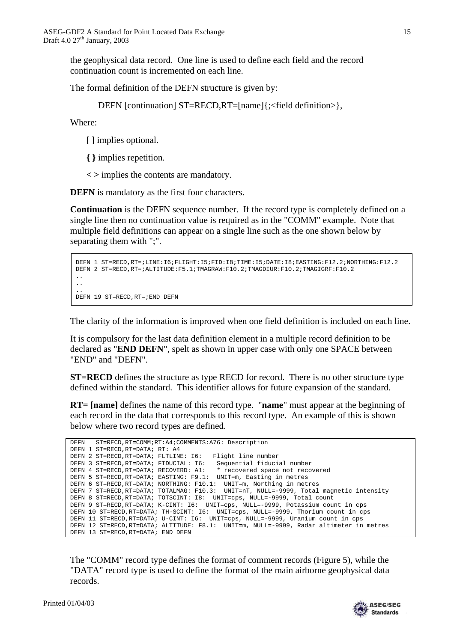the geophysical data record. One line is used to define each field and the record continuation count is incremented on each line.

The formal definition of the DEFN structure is given by:

DEFN [continuation] ST=RECD,RT=[name]{;<field definition>},

Where:

**[ ]** implies optional.

**{ }** implies repetition.

**< >** implies the contents are mandatory.

**DEFN** is mandatory as the first four characters.

**Continuation** is the DEFN sequence number. If the record type is completely defined on a single line then no continuation value is required as in the "COMM" example. Note that multiple field definitions can appear on a single line such as the one shown below by separating them with ";".

```
DEFN 1 ST=RECD,RT=;LINE:I6;FLIGHT:I5;FID:I8;TIME:I5;DATE:I8;EASTING:F12.2;NORTHING:F12.2
DEFN 2 ST=RECD,RT=;ALTITUDE:F5.1;TMAGRAW:F10.2;TMAGDIUR:F10.2;TMAGIGRF:F10.2
..
..
..
DEFN 19 ST=RECD,RT=;END DEFN
```
The clarity of the information is improved when one field definition is included on each line.

It is compulsory for the last data definition element in a multiple record definition to be declared as "**END DEFN**", spelt as shown in upper case with only one SPACE between "END" and "DEFN".

**ST=RECD** defines the structure as type RECD for record. There is no other structure type defined within the standard. This identifier allows for future expansion of the standard.

**RT= [name]** defines the name of this record type. "**name**" must appear at the beginning of each record in the data that corresponds to this record type. An example of this is shown below where two record types are defined.

|  |                                        | DEFN ST=RECD, RT=COMM; RT: A4; COMMENTS: A76: Description                               |
|--|----------------------------------------|-----------------------------------------------------------------------------------------|
|  | DEFN 1 ST=RECD, RT=DATA; RT: A4        |                                                                                         |
|  | DEFN 2 ST=RECD, RT=DATA; FLTLINE: 16:  | Flight line number                                                                      |
|  | DEFN 3 ST=RECD, RT=DATA; FIDUCIAL: 16: | Sequential fiducial number                                                              |
|  |                                        | DEFN 4 ST=RECD, RT=DATA; RECOVERD: A1: * recovered space not recovered                  |
|  |                                        | DEFN 5 ST=RECD, RT=DATA; EASTING: F9.1: UNIT=m, Easting in metres                       |
|  |                                        | DEFN 6 ST=RECD, RT=DATA; NORTHING: F10.1: UNIT=m, Northing in metres                    |
|  |                                        | DEFN 7 ST=RECD, RT=DATA; TOTALMAG: F10.3: UNIT=nT, NULL=-9999, Total magnetic intensity |
|  |                                        | DEFN 8 ST=RECD, RT=DATA; TOTSCINT: I8: UNIT=cps, NULL=-9999, Total count                |
|  |                                        | DEFN 9 ST=RECD, RT=DATA; K-CINT: I6: UNIT=cps, NULL=-9999, Potassium count in cps       |
|  |                                        | DEFN 10 ST=RECD, RT=DATA; TH-SCINT: I6: UNIT=cps, NULL=-9999, Thorium count in cps      |
|  |                                        | DEFN 11 ST=RECD, RT=DATA; U-CINT: 16: UNIT=cps, NULL=-9999, Uranium count in cps        |
|  |                                        | DEFN 12 ST=RECD, RT=DATA; ALTITUDE: F8.1: UNIT=m, NULL=-9999, Radar altimeter in metres |
|  | DEFN 13 ST=RECD, RT=DATA; END DEFN     |                                                                                         |

The "COMM" record type defines the format of comment records (Figure 5), while the "DATA" record type is used to define the format of the main airborne geophysical data records.

Printed 01/04/03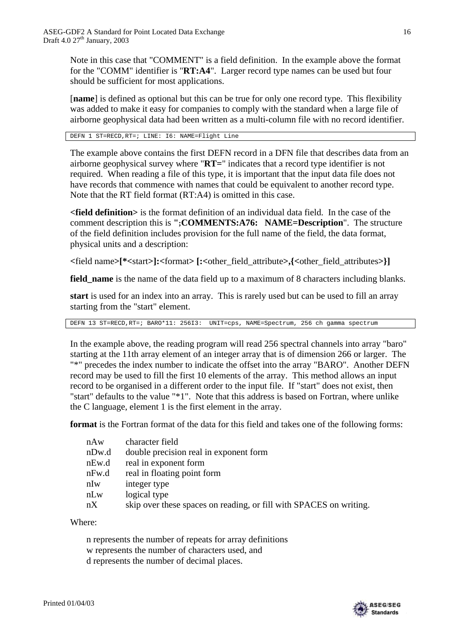Note in this case that "COMMENT" is a field definition. In the example above the format for the "COMM" identifier is "**RT:A4**". Larger record type names can be used but four should be sufficient for most applications.

[**name**] is defined as optional but this can be true for only one record type. This flexibility was added to make it easy for companies to comply with the standard when a large file of airborne geophysical data had been written as a multi-column file with no record identifier.

DEFN 1 ST=RECD,RT=; LINE: I6: NAME=Flight Line

The example above contains the first DEFN record in a DFN file that describes data from an airborne geophysical survey where "**RT=**" indicates that a record type identifier is not required. When reading a file of this type, it is important that the input data file does not have records that commence with names that could be equivalent to another record type. Note that the RT field format (RT:A4) is omitted in this case.

**<field definition>** is the format definition of an individual data field. In the case of the comment description this is **";COMMENTS:A76: NAME=Description**". The structure of the field definition includes provision for the full name of the field, the data format, physical units and a description:

**<**field name**>[\*<**start**>]:<**format**> [:<**other\_field\_attribute**>,{<**other\_field\_attributes**>}]**

**field\_name** is the name of the data field up to a maximum of 8 characters including blanks.

**start** is used for an index into an array. This is rarely used but can be used to fill an array starting from the "start" element.

DEFN 13 ST=RECD,RT=; BARO\*11: 256I3: UNIT=cps, NAME=Spectrum, 256 ch gamma spectrum

In the example above, the reading program will read 256 spectral channels into array "baro" starting at the 11th array element of an integer array that is of dimension 266 or larger. The "\*" precedes the index number to indicate the offset into the array "BARO". Another DEFN record may be used to fill the first 10 elements of the array. This method allows an input record to be organised in a different order to the input file. If "start" does not exist, then "start" defaults to the value "\*1". Note that this address is based on Fortran, where unlike the C language, element 1 is the first element in the array.

**format** is the Fortran format of the data for this field and takes one of the following forms:

| nAw   | character field                                                    |
|-------|--------------------------------------------------------------------|
| nDw.d | double precision real in exponent form                             |
| nEw.d | real in exponent form                                              |
| nFw.d | real in floating point form                                        |
| nIw   | integer type                                                       |
| nLw   | logical type                                                       |
| nX    | skip over these spaces on reading, or fill with SPACES on writing. |

Where:

n represents the number of repeats for array definitions w represents the number of characters used, and d represents the number of decimal places.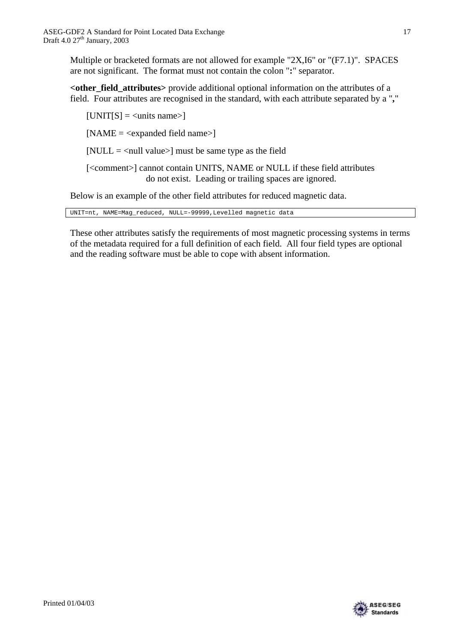Multiple or bracketed formats are not allowed for example "2X,I6" or "(F7.1)". SPACES are not significant. The format must not contain the colon "**:**" separator.

**<other\_field\_attributes>** provide additional optional information on the attributes of a field. Four attributes are recognised in the standard, with each attribute separated by a "**,**"

 $[UNIT[S] = \langle units \text{ name} \rangle]$ 

 $[NAME = <$ expanded field name $>$ ]

[NULL  $=$  <null value>] must be same type as the field

[<comment>] cannot contain UNITS, NAME or NULL if these field attributes do not exist. Leading or trailing spaces are ignored.

Below is an example of the other field attributes for reduced magnetic data.

UNIT=nt, NAME=Mag\_reduced, NULL=-99999,Levelled magnetic data

These other attributes satisfy the requirements of most magnetic processing systems in terms of the metadata required for a full definition of each field. All four field types are optional and the reading software must be able to cope with absent information.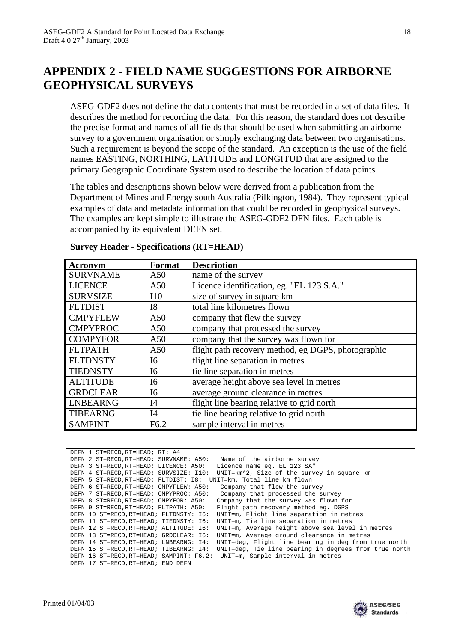## **APPENDIX 2 - FIELD NAME SUGGESTIONS FOR AIRBORNE GEOPHYSICAL SURVEYS**

ASEG-GDF2 does not define the data contents that must be recorded in a set of data files. It describes the method for recording the data. For this reason, the standard does not describe the precise format and names of all fields that should be used when submitting an airborne survey to a government organisation or simply exchanging data between two organisations. Such a requirement is beyond the scope of the standard. An exception is the use of the field names EASTING, NORTHING, LATITUDE and LONGITUD that are assigned to the primary Geographic Coordinate System used to describe the location of data points.

The tables and descriptions shown below were derived from a publication from the Department of Mines and Energy south Australia (Pilkington, 1984). They represent typical examples of data and metadata information that could be recorded in geophysical surveys. The examples are kept simple to illustrate the ASEG-GDF2 DFN files. Each table is accompanied by its equivalent DEFN set.

| <b>Acronym</b>  | Format           | <b>Description</b>                                 |
|-----------------|------------------|----------------------------------------------------|
| <b>SURVNAME</b> | A50              | name of the survey                                 |
| <b>LICENCE</b>  | A50              | Licence identification, eg. "EL 123 S.A."          |
| <b>SURVSIZE</b> | 110              | size of survey in square km                        |
| <b>FLTDIST</b>  | I <sub>8</sub>   | total line kilometres flown                        |
| <b>CMPYFLEW</b> | A50              | company that flew the survey                       |
| <b>CMPYPROC</b> | A50              | company that processed the survey                  |
| <b>COMPYFOR</b> | A50              | company that the survey was flown for              |
| <b>FLTPATH</b>  | A50              | flight path recovery method, eg DGPS, photographic |
| <b>FLTDNSTY</b> | I <sub>6</sub>   | flight line separation in metres                   |
| <b>TIEDNSTY</b> | I <sub>6</sub>   | tie line separation in metres                      |
| <b>ALTITUDE</b> | I <sub>6</sub>   | average height above sea level in metres           |
| <b>GRDCLEAR</b> | I <sub>6</sub>   | average ground clearance in metres                 |
| <b>LNBEARNG</b> | I4               | flight line bearing relative to grid north         |
| <b>TIBEARNG</b> | I4               | tie line bearing relative to grid north            |
| <b>SAMPINT</b>  | F <sub>6.2</sub> | sample interval in metres                          |

#### **Survey Header - Specifications (RT=HEAD)**

| DEFN 1 ST=RECD, RT=HEAD; RT: A4          |                                                       |
|------------------------------------------|-------------------------------------------------------|
| DEFN 2 ST=RECD, RT=HEAD; SURVNAME: A50:  | Name of the airborne survey                           |
| DEFN 3 ST=RECD, RT=HEAD; LICENCE: A50:   | Licence name eq. EL 123 SA"                           |
| DEFN 4 ST=RECD, RT=HEAD; SURVSIZE: I10:  | UNIT=km^2, Size of the survey in square km            |
| DEFN 5 ST=RECD.RT=HEAD; FLTDIST: I8:     | UNIT=km, Total line km flown                          |
| DEFN 6 ST=RECD, RT=HEAD; CMPYFLEW: A50:  | Company that flew the survey                          |
| DEFN 7 ST=RECD, RT=HEAD; CMPYPROC: A50:  | Company that processed the survey                     |
| DEFN 8 ST=RECD, RT=HEAD; CMPYFOR: A50:   | Company that the survey was flown for                 |
| DEFN 9 ST=RECD.RT=HEAD; FLTPATH: A50:    | Flight path recovery method eq. DGPS                  |
| DEFN 10 ST=RECD.RT=HEAD; FLTDNSTY: 16:   | UNIT=m, Flight line separation in metres              |
| DEFN 11 ST=RECD, RT=HEAD; TIEDNSTY: 16:  | UNIT=m, Tie line separation in metres                 |
| DEFN 12 ST=RECD, RT=HEAD; ALTITUDE: 16:  | UNIT=m, Average height above sea level in metres      |
| DEFN 13 ST=RECD.RT=HEAD; GRDCLEAR: 16:   | UNIT=m, Average ground clearance in metres            |
| DEFN 14 ST=RECD, RT=HEAD; LNBEARNG: I4:  | UNIT=deg, Flight line bearing in deg from true north  |
| DEFN 15 ST=RECD, RT=HEAD; TIBEARNG: I4:  | UNIT=deg, Tie line bearing in degrees from true north |
| DEFN 16 ST=RECD, RT=HEAD; SAMPINT: F6.2: | UNIT=m, Sample interval in metres                     |
| DEFN 17 ST=RECD.RT=HEAD; END DEFN        |                                                       |

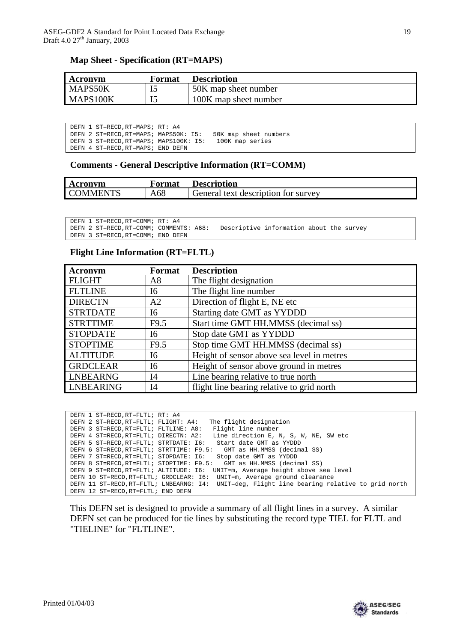### **Map Sheet - Specification (RT=MAPS)**

| Acronym  | Format | <b>Description</b>    |
|----------|--------|-----------------------|
| MAPS50K  |        | 50K map sheet number  |
| MAPS100K |        | 100K map sheet number |

| DEFN 1 ST=RECD, RT=MAPS; RT: A4        |                       |
|----------------------------------------|-----------------------|
| DEFN 2 ST=RECD, RT=MAPS; MAPS50K: I5:  | 50K map sheet numbers |
| DEFN 3 ST=RECD, RT=MAPS; MAPS100K: I5: | 100K map series       |
| DEFN 4 ST=RECD.RT=MAPS; END DEFN       |                       |

#### **Comments - General Descriptive Information (RT=COMM)**

| Acronym         | Format | <b>Description</b>                  |
|-----------------|--------|-------------------------------------|
| <b>COMMENTS</b> | A68    | General text description for survey |

DEFN 1 ST=RECD, RT=COMM; RT: A4<br>DEFN 2 ST=RECD, RT=COMM; COMMENTS: A68: Descriptive information about the survey DEFN 3 ST=RECD,RT=COMM; END DEFN

### **Flight Line Information (RT=FLTL)**

| <b>Acronvm</b>   | Format           | <b>Description</b>                         |
|------------------|------------------|--------------------------------------------|
| <b>FLIGHT</b>    | A8               | The flight designation                     |
| <b>FLTLINE</b>   | I6               | The flight line number                     |
| <b>DIRECTN</b>   | A <sub>2</sub>   | Direction of flight E, NE etc.             |
| <b>STRTDATE</b>  | I6               | Starting date GMT as YYDDD                 |
| <b>STRTTIME</b>  | F9.5             | Start time GMT HH.MMSS (decimal ss)        |
| <b>STOPDATE</b>  | I6               | Stop date GMT as YYDDD                     |
| <b>STOPTIME</b>  | F <sub>9.5</sub> | Stop time GMT HH.MMSS (decimal ss)         |
| <b>ALTITUDE</b>  | I <sub>6</sub>   | Height of sensor above sea level in metres |
| <b>GRDCLEAR</b>  | <b>I6</b>        | Height of sensor above ground in metres    |
| <b>LNBEARNG</b>  | I4               | Line bearing relative to true north        |
| <b>LNBEARING</b> | I4               | flight line bearing relative to grid north |

| DEFN 1 ST=RECD, RT=FLTL; RT: A4          |                                                      |
|------------------------------------------|------------------------------------------------------|
| DEFN 2 ST=RECD, RT=FLTL; FLIGHT: A4:     | The flight designation                               |
| DEFN 3 ST=RECD, RT=FLTL; FLTLINE: A8:    | Flight line number                                   |
| DEFN 4 ST=RECD, RT=FLTL; DIRECTN: A2:    | Line direction E, N, S, W, NE, SW etc                |
| DEFN 5 ST=RECD, RT=FLTL; STRTDATE: 16:   | Start date GMT as YYDDD                              |
| DEFN 6 ST=RECD, RT=FLTL; STRTTIME: F9.5: | GMT as HH.MMSS (decimal SS)                          |
| DEFN 7 ST=RECD, RT=FLTL; STOPDATE: 16:   | Stop date GMT as YYDDD                               |
| DEFN 8 ST=RECD.RT=FLTL; STOPTIME: F9.5:  | GMT as HH.MMSS (decimal SS)                          |
| DEFN 9 ST=RECD, RT=FLTL; ALTITUDE: 16:   | UNIT=m, Average height above sea level               |
| DEFN 10 ST=RECD, RT=FLTL; GRDCLEAR: 16:  | UNIT=m, Average ground clearance                     |
| DEFN 11 ST=RECD, RT=FLTL; LNBEARNG: I4:  | UNIT=deg, Flight line bearing relative to grid north |
| DEFN 12 ST=RECD, RT=FLTL; END DEFN       |                                                      |

This DEFN set is designed to provide a summary of all flight lines in a survey. A similar DEFN set can be produced for tie lines by substituting the record type TIEL for FLTL and "TIELINE" for "FLTLINE".

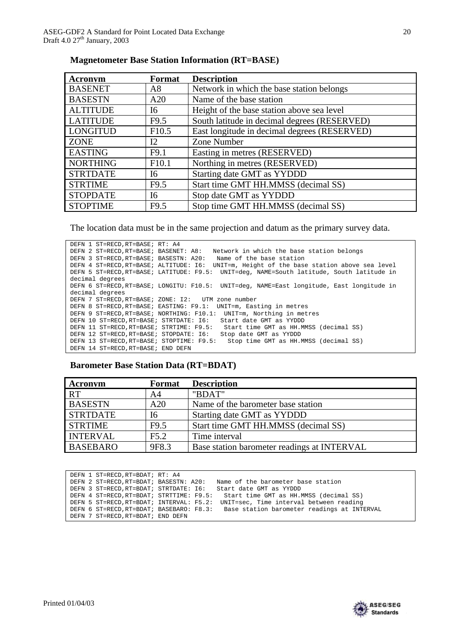| Acronym         | Format            | <b>Description</b>                           |
|-----------------|-------------------|----------------------------------------------|
| <b>BASENET</b>  | A8                | Network in which the base station belongs    |
| <b>BASESTN</b>  | A20               | Name of the base station                     |
| <b>ALTITUDE</b> | I6                | Height of the base station above sea level   |
| <b>LATITUDE</b> | F9.5              | South latitude in decimal degrees (RESERVED) |
| <b>LONGITUD</b> | F10.5             | East longitude in decimal degrees (RESERVED) |
| <b>ZONE</b>     | 12                | Zone Number                                  |
| <b>EASTING</b>  | F9.1              | Easting in metres (RESERVED)                 |
| <b>NORTHING</b> | F <sub>10.1</sub> | Northing in metres (RESERVED)                |
| <b>STRTDATE</b> | I6                | Starting date GMT as YYDDD                   |
| <b>STRTIME</b>  | F9.5              | Start time GMT HH.MMSS (decimal SS)          |
| <b>STOPDATE</b> | I6                | Stop date GMT as YYDDD                       |
| <b>STOPTIME</b> | F <sub>9.5</sub>  | Stop time GMT HH.MMSS (decimal SS)           |

#### **Magnetometer Base Station Information (RT=BASE)**

The location data must be in the same projection and datum as the primary survey data.

DEFN 1 ST=RECD,RT=BASE; RT: A4 DEFN 2 ST=RECD,RT=BASE; BASENET: A8: Network in which the base station belongs DEFN 3 ST=RECD,RT=BASE; BASESTN: A20: Name of the base station DEFN 4 ST=RECD,RT=BASE; ALTITUDE: I6: UNIT=m, Height of the base station above sea level DEFN 5 ST=RECD,RT=BASE; LATITUDE: F9.5: UNIT=deg, NAME=South latitude, South latitude in decimal degrees DEFN 6 ST=RECD,RT=BASE; LONGITU: F10.5: UNIT=deg, NAME=East longitude, East longitude in decimal degrees DEFN 7 ST=RECD,RT=BASE; ZONE: I2: UTM zone number DEFN 8 ST=RECD,RT=BASE; EASTING: F9.1: UNIT=m, Easting in metres DEFN 9 ST=RECD,RT=BASE; NORTHING: F10.1: UNIT=m, Northing in metres DEFN 10 ST=RECD,RT=BASE; STRTDATE: I6: Start date GMT as YYDDD DEFN 11 ST=RECD,RT=BASE; STRTIME: F9.5: Start time GMT as HH.MMSS (decimal SS) DEFN 12 ST=RECD,RT=BASE; STOPDATE: I6: Stop date GMT as YYDDD DEFN 13 ST=RECD,RT=BASE; STOPTIME: F9.5: Stop time GMT as HH.MMSS (decimal SS) DEFN 14 ST=RECD,RT=BASE; END DEFN

#### **Barometer Base Station Data (RT=BDAT)**

| Acronym         | Format | <b>Description</b>                          |
|-----------------|--------|---------------------------------------------|
| <b>RT</b>       | A4     | "BDAT"                                      |
| <b>BASESTN</b>  | A20    | Name of the barometer base station          |
| <b>STRTDATE</b> | 16     | Starting date GMT as YYDDD                  |
| <b>STRTIME</b>  | F9.5   | Start time GMT HH.MMSS (decimal SS)         |
| <b>INTERVAL</b> | F5.2   | Time interval                               |
| <b>BASEBARO</b> | 9F8.3  | Base station barometer readings at INTERVAL |

| DEFN 1 ST=RECD, RT=BDAT; RT: A4          |                                                                                      |
|------------------------------------------|--------------------------------------------------------------------------------------|
| DEFN 2 ST=RECD, RT=BDAT; BASESTN: A20:   | Name of the barometer base station                                                   |
| DEFN 3 ST=RECD, RT=BDAT; STRTDATE: 16:   | Start date GMT as YYDDD                                                              |
| DEFN 4 ST=RECD, RT=BDAT; STRTTIME: F9.5: | Start time GMT as HH.MMSS (decimal SS)                                               |
| DEFN 5 ST=RECD, RT=BDAT; INTERVAL: F5.2: | UNIT=sec, Time interval between reading                                              |
|                                          | DEFN 6 ST=RECD, RT=BDAT; BASEBARO: F8.3: Base station barometer readings at INTERVAL |
| DEFN 7 ST=RECD, RT=BDAT; END DEFN        |                                                                                      |

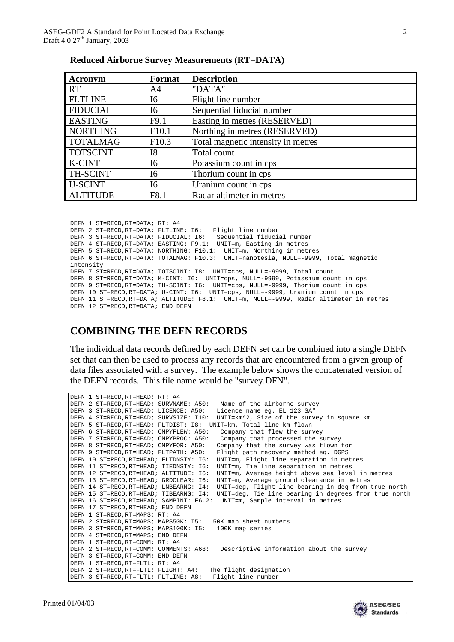| <b>Acronym</b>  | Format            | <b>Description</b>                 |
|-----------------|-------------------|------------------------------------|
| <b>RT</b>       | A4                | "DATA"                             |
| <b>FLTLINE</b>  | I6                | Flight line number                 |
| <b>FIDUCIAL</b> | I6                | Sequential fiducial number         |
| <b>EASTING</b>  | F9.1              | Easting in metres (RESERVED)       |
| <b>NORTHING</b> | F10.1             | Northing in metres (RESERVED)      |
| <b>TOTALMAG</b> | F <sub>10.3</sub> | Total magnetic intensity in metres |
| <b>TOTSCINT</b> | <b>I8</b>         | Total count                        |
| <b>K-CINT</b>   | I6                | Potassium count in cps             |
| TH-SCINT        | I6                | Thorium count in cps               |
| <b>U-SCINT</b>  | I6                | Uranium count in cps               |
| <b>ALTITUDE</b> | F8.1              | Radar altimeter in metres          |

| <b>Reduced Airborne Survey Measurements (RT=DATA)</b> |  |  |
|-------------------------------------------------------|--|--|
|                                                       |  |  |

```
DEFN 1 ST=RECD,RT=DATA; RT: A4
DEFN 2 ST=RECD,RT=DATA; FLTLINE: I6: Flight line number
DEFN 3 ST=RECD,RT=DATA; FIDUCIAL: I6: Sequential fiducial number
DEFN 4 ST=RECD,RT=DATA; EASTING: F9.1: UNIT=m, Easting in metres
DEFN 5 ST=RECD,RT=DATA; NORTHING: F10.1: UNIT=m, Northing in metres
DEFN 6 ST=RECD,RT=DATA; TOTALMAG: F10.3: UNIT=nanotesla, NULL=-9999, Total magnetic 
intensity
DEFN 7 ST=RECD,RT=DATA; TOTSCINT: I8: UNIT=cps, NULL=-9999, Total count
DEFN 8 ST=RECD,RT=DATA; K-CINT: I6: UNIT=cps, NULL=-9999, Potassium count in cps
DEFN 9 ST=RECD,RT=DATA; TH-SCINT: I6: UNIT=cps, NULL=-9999, Thorium count in cps
DEFN 10 ST=RECD,RT=DATA; U-CINT: I6: UNIT=cps, NULL=-9999, Uranium count in cps
DEFN 11 ST=RECD,RT=DATA; ALTITUDE: F8.1: UNIT=m, NULL=-9999, Radar altimeter in metres
DEFN 12 ST=RECD,RT=DATA; END DEFN
```
### **COMBINING THE DEFN RECORDS**

The individual data records defined by each DEFN set can be combined into a single DEFN set that can then be used to process any records that are encountered from a given group of data files associated with a survey. The example below shows the concatenated version of the DEFN records. This file name would be "survey.DFN".

|  | Name of the airborne survey                                                                                                                                                                                                                                                                                                                                                                                                                                                                                                                                                                                                                                                                                                                                                                                                                                                                                                                                                                                                                                                                                                          |
|--|--------------------------------------------------------------------------------------------------------------------------------------------------------------------------------------------------------------------------------------------------------------------------------------------------------------------------------------------------------------------------------------------------------------------------------------------------------------------------------------------------------------------------------------------------------------------------------------------------------------------------------------------------------------------------------------------------------------------------------------------------------------------------------------------------------------------------------------------------------------------------------------------------------------------------------------------------------------------------------------------------------------------------------------------------------------------------------------------------------------------------------------|
|  | Licence name eg. EL 123 SA"                                                                                                                                                                                                                                                                                                                                                                                                                                                                                                                                                                                                                                                                                                                                                                                                                                                                                                                                                                                                                                                                                                          |
|  | UNIT=km^2, Size of the survey in square km                                                                                                                                                                                                                                                                                                                                                                                                                                                                                                                                                                                                                                                                                                                                                                                                                                                                                                                                                                                                                                                                                           |
|  | UNIT=km, Total line km flown                                                                                                                                                                                                                                                                                                                                                                                                                                                                                                                                                                                                                                                                                                                                                                                                                                                                                                                                                                                                                                                                                                         |
|  | Company that flew the survey                                                                                                                                                                                                                                                                                                                                                                                                                                                                                                                                                                                                                                                                                                                                                                                                                                                                                                                                                                                                                                                                                                         |
|  | Company that processed the survey                                                                                                                                                                                                                                                                                                                                                                                                                                                                                                                                                                                                                                                                                                                                                                                                                                                                                                                                                                                                                                                                                                    |
|  | Company that the survey was flown for                                                                                                                                                                                                                                                                                                                                                                                                                                                                                                                                                                                                                                                                                                                                                                                                                                                                                                                                                                                                                                                                                                |
|  | Flight path recovery method eq. DGPS                                                                                                                                                                                                                                                                                                                                                                                                                                                                                                                                                                                                                                                                                                                                                                                                                                                                                                                                                                                                                                                                                                 |
|  | UNIT=m, Flight line separation in metres                                                                                                                                                                                                                                                                                                                                                                                                                                                                                                                                                                                                                                                                                                                                                                                                                                                                                                                                                                                                                                                                                             |
|  | UNIT=m, Tie line separation in metres                                                                                                                                                                                                                                                                                                                                                                                                                                                                                                                                                                                                                                                                                                                                                                                                                                                                                                                                                                                                                                                                                                |
|  | UNIT=m, Average height above sea level in metres                                                                                                                                                                                                                                                                                                                                                                                                                                                                                                                                                                                                                                                                                                                                                                                                                                                                                                                                                                                                                                                                                     |
|  | UNIT=m, Average ground clearance in metres                                                                                                                                                                                                                                                                                                                                                                                                                                                                                                                                                                                                                                                                                                                                                                                                                                                                                                                                                                                                                                                                                           |
|  | UNIT=deg, Flight line bearing in deg from true north                                                                                                                                                                                                                                                                                                                                                                                                                                                                                                                                                                                                                                                                                                                                                                                                                                                                                                                                                                                                                                                                                 |
|  | UNIT=deg, Tie line bearing in degrees from true north                                                                                                                                                                                                                                                                                                                                                                                                                                                                                                                                                                                                                                                                                                                                                                                                                                                                                                                                                                                                                                                                                |
|  | UNIT=m, Sample interval in metres                                                                                                                                                                                                                                                                                                                                                                                                                                                                                                                                                                                                                                                                                                                                                                                                                                                                                                                                                                                                                                                                                                    |
|  |                                                                                                                                                                                                                                                                                                                                                                                                                                                                                                                                                                                                                                                                                                                                                                                                                                                                                                                                                                                                                                                                                                                                      |
|  |                                                                                                                                                                                                                                                                                                                                                                                                                                                                                                                                                                                                                                                                                                                                                                                                                                                                                                                                                                                                                                                                                                                                      |
|  | 50K map sheet numbers                                                                                                                                                                                                                                                                                                                                                                                                                                                                                                                                                                                                                                                                                                                                                                                                                                                                                                                                                                                                                                                                                                                |
|  | 100K map series                                                                                                                                                                                                                                                                                                                                                                                                                                                                                                                                                                                                                                                                                                                                                                                                                                                                                                                                                                                                                                                                                                                      |
|  |                                                                                                                                                                                                                                                                                                                                                                                                                                                                                                                                                                                                                                                                                                                                                                                                                                                                                                                                                                                                                                                                                                                                      |
|  |                                                                                                                                                                                                                                                                                                                                                                                                                                                                                                                                                                                                                                                                                                                                                                                                                                                                                                                                                                                                                                                                                                                                      |
|  | Descriptive information about the survey                                                                                                                                                                                                                                                                                                                                                                                                                                                                                                                                                                                                                                                                                                                                                                                                                                                                                                                                                                                                                                                                                             |
|  |                                                                                                                                                                                                                                                                                                                                                                                                                                                                                                                                                                                                                                                                                                                                                                                                                                                                                                                                                                                                                                                                                                                                      |
|  |                                                                                                                                                                                                                                                                                                                                                                                                                                                                                                                                                                                                                                                                                                                                                                                                                                                                                                                                                                                                                                                                                                                                      |
|  | The flight designation                                                                                                                                                                                                                                                                                                                                                                                                                                                                                                                                                                                                                                                                                                                                                                                                                                                                                                                                                                                                                                                                                                               |
|  | Flight line number                                                                                                                                                                                                                                                                                                                                                                                                                                                                                                                                                                                                                                                                                                                                                                                                                                                                                                                                                                                                                                                                                                                   |
|  | DEFN 1 ST=RECD, RT=HEAD; RT: A4<br>DEFN 2 ST=RECD, RT=HEAD; SURVNAME: A50:<br>DEFN 3 ST=RECD, RT=HEAD; LICENCE: A50:<br>DEFN 4 ST=RECD.RT=HEAD; SURVSIZE: I10:<br>DEFN 5 ST=RECD, RT=HEAD; FLTDIST: 18:<br>DEFN 6 ST=RECD, RT=HEAD; CMPYFLEW: A50:<br>DEFN 7 ST=RECD, RT=HEAD; CMPYPROC: A50:<br>DEFN 8 ST=RECD.RT=HEAD; CMPYFOR: A50:<br>DEFN 9 ST=RECD, RT=HEAD; FLTPATH: A50:<br>DEFN 10 ST=RECD, RT=HEAD; FLTDNSTY: 16:<br>DEFN 11 ST=RECD, RT=HEAD; TIEDNSTY: 16:<br>DEFN 12 ST=RECD, RT=HEAD; ALTITUDE: 16:<br>DEFN 13 ST=RECD, RT=HEAD; GRDCLEAR: 16:<br>DEFN 14 ST=RECD.RT=HEAD; LNBEARNG: 14:<br>DEFN 15 ST=RECD, RT=HEAD; TIBEARNG: I4:<br>DEFN 16 ST=RECD, RT=HEAD; SAMPINT: F6.2:<br>DEFN 17 ST=RECD, RT=HEAD; END DEFN<br>DEFN 1 ST=RECD, RT=MAPS; RT: A4<br>DEFN 2 ST=RECD, RT=MAPS; MAPS50K: I5:<br>DEFN 3 ST=RECD, RT=MAPS; MAPS100K: I5:<br>DEFN 4 ST=RECD.RT=MAPS; END DEFN<br>DEFN 1 ST=RECD, RT=COMM; RT: A4<br>DEFN 2 ST=RECD, RT=COMM; COMMENTS: A68:<br>DEFN 3 ST=RECD, RT=COMM; END DEFN<br>DEFN 1 ST=RECD, RT=FLTL; RT: A4<br>DEFN 2 ST=RECD, RT=FLTL; FLIGHT: A4:<br>DEFN 3 ST=RECD, RT=FLTL; FLTLINE: A8: |

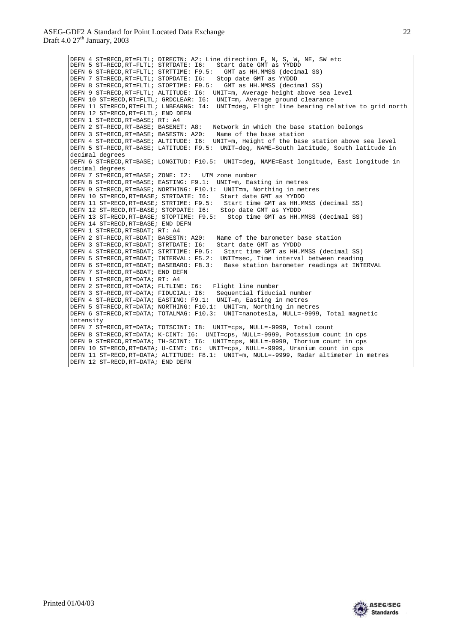DEFN 4 ST=RECD,RT=FLTL; DIRECTN: A2: Line direction E, N, S, W, NE, SW etc DEFN 5 ST=RECD,RT=FLTL; STRTDATE: I6: Start date GMT as YYDDD DEFN 6 ST=RECD,RT=FLTL; STRTTIME: F9.5: GMT as HH.MMSS (decimal SS) DEFN 7 ST=RECD,RT=FLTL; STOPDATE: I6: Stop date GMT as YYDDD DEFN 8 ST=RECD,RT=FLTL; STOPTIME: F9.5: GMT as HH.MMSS (decimal SS) DEFN 9 ST=RECD,RT=FLTL; ALTITUDE: I6: UNIT=m, Average height above sea level DEFN 10 ST=RECD,RT=FLTL; GRDCLEAR: I6: UNIT=m, Average ground clearance DEFN 11 ST=RECD,RT=FLTL; LNBEARNG: I4: UNIT=deg, Flight line bearing relative to grid north DEFN 12 ST=RECD,RT=FLTL; END DEFN DEFN 1 ST=RECD,RT=BASE; RT: A4 DEFN 2 ST=RECD,RT=BASE; BASENET: A8: Network in which the base station belongs DEFN 3 ST=RECD,RT=BASE; BASESTN: A20: Name of the base station DEFN 4 ST=RECD,RT=BASE; ALTITUDE: I6: UNIT=m, Height of the base station above sea level DEFN 5 ST=RECD,RT=BASE; LATITUDE: F9.5: UNIT=deg, NAME=South latitude, South latitude in decimal degrees DEFN 6 ST=RECD,RT=BASE; LONGITUD: F10.5: UNIT=deg, NAME=East longitude, East longitude in decimal degrees DEFN 7 ST=RECD,RT=BASE; ZONE: I2: UTM zone number DEFN 8 ST=RECD,RT=BASE; EASTING: F9.1: UNIT=m, Easting in metres DEFN 9 ST=RECD,RT=BASE; NORTHING: F10.1: UNIT=m, Northing in metres DEFN 10 ST=RECD,RT=BASE; STRTDATE: I6: Start date GMT as YYDDD DEFN 11 ST=RECD,RT=BASE; STRTIME: F9.5: Start time GMT as HH.MMSS (decimal SS) DEFN 12 ST=RECD,RT=BASE; STOPDATE: I6: Stop date GMT as YYDDD DEFN 13 ST=RECD,RT=BASE; STOPTIME: F9.5: Stop time GMT as HH.MMSS (decimal SS) DEFN 14 ST=RECD,RT=BASE; END DEFN DEFN 1 ST=RECD,RT=BDAT; RT: A4 DEFN 2 ST=RECD,RT=BDAT; BASESTN: A20: Name of the barometer base station DEFN 3 ST=RECD,RT=BDAT; STRTDATE: I6: Start date GMT as YYDDD DEFN 4 ST=RECD,RT=BDAT; STRTTIME: F9.5: Start time GMT as HH.MMSS (decimal SS) DEFN 5 ST=RECD,RT=BDAT; INTERVAL: F5.2: UNIT=sec, Time interval between reading DEFN 6 ST=RECD,RT=BDAT; BASEBARO: F8.3: Base station barometer readings at INTERVAL DEFN 7 ST=RECD,RT=BDAT; END DEFN DEFN 1 ST=RECD,RT=DATA; RT: A4 DEFN 2 ST=RECD,RT=DATA; FLTLINE: I6: Flight line number DEFN 3 ST=RECD,RT=DATA; FIDUCIAL: I6: Sequential fiducial number DEFN 4 ST=RECD,RT=DATA; EASTING: F9.1: UNIT=m, Easting in metres DEFN 5 ST=RECD,RT=DATA; NORTHING: F10.1: UNIT=m, Northing in metres DEFN 6 ST=RECD,RT=DATA; TOTALMAG: F10.3: UNIT=nanotesla, NULL=-9999, Total magnetic intensity DEFN 7 ST=RECD,RT=DATA; TOTSCINT: I8: UNIT=cps, NULL=-9999, Total count DEFN 8 ST=RECD,RT=DATA; K-CINT: I6: UNIT=cps, NULL=-9999, Potassium count in cps DEFN 9 ST=RECD,RT=DATA; TH-SCINT: I6: UNIT=cps, NULL=-9999, Thorium count in cps DEFN 10 ST=RECD,RT=DATA; U-CINT: I6: UNIT=cps, NULL=-9999, Uranium count in cps DEFN 11 ST=RECD,RT=DATA; ALTITUDE: F8.1: UNIT=m, NULL=-9999, Radar altimeter in metres DEFN 12 ST=RECD,RT=DATA; END DEFN



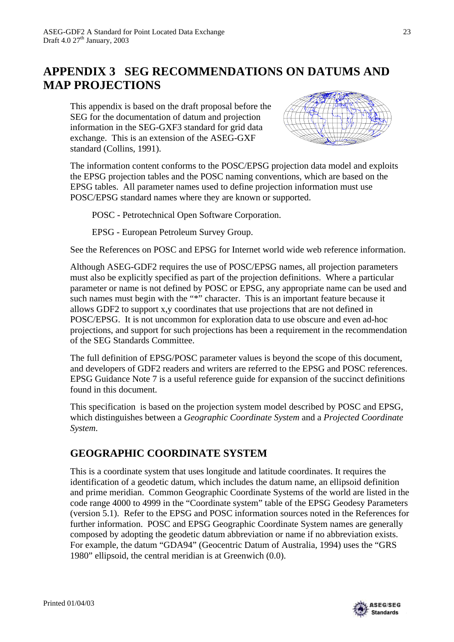# **APPENDIX 3 SEG RECOMMENDATIONS ON DATUMS AND MAP PROJECTIONS**

This appendix is based on the draft proposal before the SEG for the documentation of datum and projection information in the SEG-GXF3 standard for grid data exchange. This is an extension of the ASEG-GXF standard (Collins, 1991).



The information content conforms to the POSC/EPSG projection data model and exploits the EPSG projection tables and the POSC naming conventions, which are based on the EPSG tables. All parameter names used to define projection information must use POSC/EPSG standard names where they are known or supported.

POSC - Petrotechnical Open Software Corporation.

EPSG - European Petroleum Survey Group.

See the References on POSC and EPSG for Internet world wide web reference information.

Although ASEG-GDF2 requires the use of POSC/EPSG names, all projection parameters must also be explicitly specified as part of the projection definitions. Where a particular parameter or name is not defined by POSC or EPSG, any appropriate name can be used and such names must begin with the "\*" character. This is an important feature because it allows GDF2 to support x,y coordinates that use projections that are not defined in POSC/EPSG. It is not uncommon for exploration data to use obscure and even ad-hoc projections, and support for such projections has been a requirement in the recommendation of the SEG Standards Committee.

The full definition of EPSG/POSC parameter values is beyond the scope of this document, and developers of GDF2 readers and writers are referred to the EPSG and POSC references. EPSG Guidance Note 7 is a useful reference guide for expansion of the succinct definitions found in this document.

This specification is based on the projection system model described by POSC and EPSG, which distinguishes between a *Geographic Coordinate System* and a *Projected Coordinate System*.

### **GEOGRAPHIC COORDINATE SYSTEM**

This is a coordinate system that uses longitude and latitude coordinates. It requires the identification of a geodetic datum, which includes the datum name, an ellipsoid definition and prime meridian. Common Geographic Coordinate Systems of the world are listed in the code range 4000 to 4999 in the "Coordinate system" table of the EPSG Geodesy Parameters (version 5.1). Refer to the EPSG and POSC information sources noted in the References for further information. POSC and EPSG Geographic Coordinate System names are generally composed by adopting the geodetic datum abbreviation or name if no abbreviation exists. For example, the datum "GDA94" (Geocentric Datum of Australia, 1994) uses the "GRS 1980" ellipsoid, the central meridian is at Greenwich (0.0).

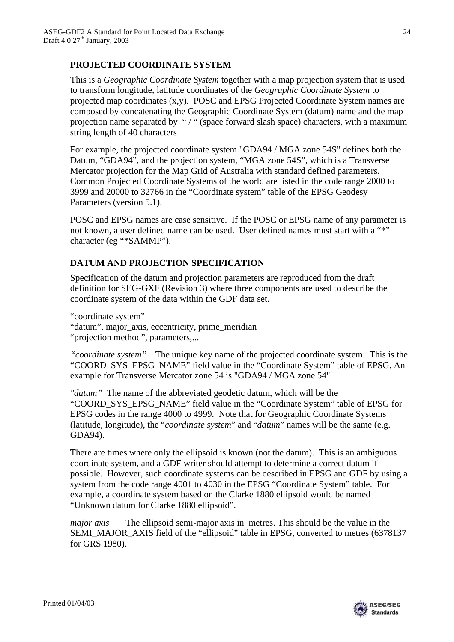### **PROJECTED COORDINATE SYSTEM**

This is a *Geographic Coordinate System* together with a map projection system that is used to transform longitude, latitude coordinates of the *Geographic Coordinate System* to projected map coordinates (x,y). POSC and EPSG Projected Coordinate System names are composed by concatenating the Geographic Coordinate System (datum) name and the map projection name separated by "/" (space forward slash space) characters, with a maximum string length of 40 characters

For example, the projected coordinate system "GDA94 / MGA zone 54S" defines both the Datum, "GDA94", and the projection system, "MGA zone 54S", which is a Transverse Mercator projection for the Map Grid of Australia with standard defined parameters. Common Projected Coordinate Systems of the world are listed in the code range 2000 to 3999 and 20000 to 32766 in the "Coordinate system" table of the EPSG Geodesy Parameters (version 5.1).

POSC and EPSG names are case sensitive. If the POSC or EPSG name of any parameter is not known, a user defined name can be used. User defined names must start with a "\*" character (eg "\*SAMMP").

### **DATUM AND PROJECTION SPECIFICATION**

Specification of the datum and projection parameters are reproduced from the draft definition for SEG-GXF (Revision 3) where three components are used to describe the coordinate system of the data within the GDF data set.

"coordinate system"

"datum", major\_axis, eccentricity, prime\_meridian "projection method", parameters,...

*"coordinate system"* The unique key name of the projected coordinate system. This is the "COORD\_SYS\_EPSG\_NAME" field value in the "Coordinate System" table of EPSG. An example for Transverse Mercator zone 54 is "GDA94 / MGA zone 54"

*"datum"* The name of the abbreviated geodetic datum, which will be the "COORD\_SYS\_EPSG\_NAME" field value in the "Coordinate System" table of EPSG for EPSG codes in the range 4000 to 4999. Note that for Geographic Coordinate Systems (latitude, longitude), the "*coordinate system*" and "*datum*" names will be the same (e.g. GDA94).

There are times where only the ellipsoid is known (not the datum). This is an ambiguous coordinate system, and a GDF writer should attempt to determine a correct datum if possible. However, such coordinate systems can be described in EPSG and GDF by using a system from the code range 4001 to 4030 in the EPSG "Coordinate System" table. For example, a coordinate system based on the Clarke 1880 ellipsoid would be named "Unknown datum for Clarke 1880 ellipsoid".

*major axis* The ellipsoid semi-major axis in metres. This should be the value in the SEMI\_MAJOR\_AXIS field of the "ellipsoid" table in EPSG, converted to metres (6378137 for GRS 1980).

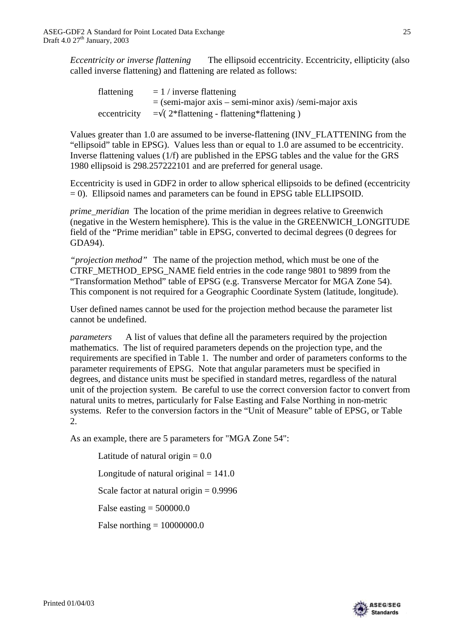*Eccentricity or inverse flattening* The ellipsoid eccentricity. Eccentricity, ellipticity (also called inverse flattening) and flattening are related as follows:

| flattening   | $= 1 /$ inverse flattening                               |
|--------------|----------------------------------------------------------|
|              | $=$ (semi-major axis – semi-minor axis) /semi-major axis |
| eccentricity | $=\sqrt{(2*flattening - flattening*flattening)}$         |

Values greater than 1.0 are assumed to be inverse-flattening (INV\_FLATTENING from the "ellipsoid" table in EPSG). Values less than or equal to 1.0 are assumed to be eccentricity. Inverse flattening values (1/f) are published in the EPSG tables and the value for the GRS 1980 ellipsoid is 298.257222101 and are preferred for general usage.

Eccentricity is used in GDF2 in order to allow spherical ellipsoids to be defined (eccentricity = 0). Ellipsoid names and parameters can be found in EPSG table ELLIPSOID.

*prime\_meridian* The location of the prime meridian in degrees relative to Greenwich (negative in the Western hemisphere). This is the value in the GREENWICH\_LONGITUDE field of the "Prime meridian" table in EPSG, converted to decimal degrees (0 degrees for GDA94).

*"projection method"* The name of the projection method, which must be one of the CTRF\_METHOD\_EPSG\_NAME field entries in the code range 9801 to 9899 from the "Transformation Method" table of EPSG (e.g. Transverse Mercator for MGA Zone 54). This component is not required for a Geographic Coordinate System (latitude, longitude).

User defined names cannot be used for the projection method because the parameter list cannot be undefined.

*parameters* A list of values that define all the parameters required by the projection mathematics. The list of required parameters depends on the projection type, and the requirements are specified in Table 1. The number and order of parameters conforms to the parameter requirements of EPSG. Note that angular parameters must be specified in degrees, and distance units must be specified in standard metres, regardless of the natural unit of the projection system. Be careful to use the correct conversion factor to convert from natural units to metres, particularly for False Easting and False Northing in non-metric systems. Refer to the conversion factors in the "Unit of Measure" table of EPSG, or Table 2.

As an example, there are 5 parameters for "MGA Zone 54":

Latitude of natural origin  $= 0.0$ Longitude of natural original  $= 141.0$ Scale factor at natural origin  $= 0.9996$ False easting  $= 500000.0$ False northing  $= 10000000.0$ 

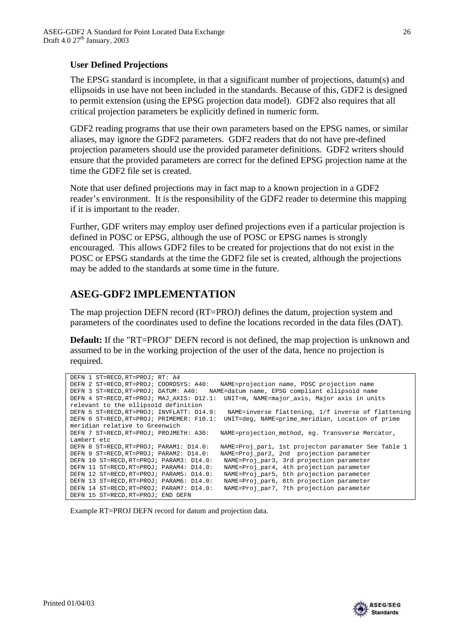### **User Defined Projections**

The EPSG standard is incomplete, in that a significant number of projections, datum(s) and ellipsoids in use have not been included in the standards. Because of this, GDF2 is designed to permit extension (using the EPSG projection data model). GDF2 also requires that all critical projection parameters be explicitly defined in numeric form.

GDF2 reading programs that use their own parameters based on the EPSG names, or similar aliases, may ignore the GDF2 parameters. GDF2 readers that do not have pre-defined projection parameters should use the provided parameter definitions. GDF2 writers should ensure that the provided parameters are correct for the defined EPSG projection name at the time the GDF2 file set is created.

Note that user defined projections may in fact map to a known projection in a GDF2 reader's environment. It is the responsibility of the GDF2 reader to determine this mapping if it is important to the reader.

Further, GDF writers may employ user defined projections even if a particular projection is defined in POSC or EPSG, although the use of POSC or EPSG names is strongly encouraged. This allows GDF2 files to be created for projections that do not exist in the POSC or EPSG standards at the time the GDF2 file set is created, although the projections may be added to the standards at some time in the future.

### **ASEG-GDF2 IMPLEMENTATION**

The map projection DEFN record (RT=PROJ) defines the datum, projection system and parameters of the coordinates used to define the locations recorded in the data files (DAT).

**Default:** If the "RT=PROJ" DEFN record is not defined, the map projection is unknown and assumed to be in the working projection of the user of the data, hence no projection is required.

```
DEFN 1 ST=RECD,RT=PROJ; RT: A4
DEFN 2 ST=RECD,RT=PROJ; COORDSYS: A40: NAME=projection name, POSC projection name
DEFN 3 ST=RECD,RT=PROJ; DATUM: A40: NAME=datum name, EPSG compliant ellipsoid name
DEFN 4 ST=RECD,RT=PROJ; MAJ_AXIS: D12.1: UNIT=m, NAME=major_axis, Major axis in units 
relevant to the ellipsoid definition<br>DEFN 5 ST=RECD.RT=PROJ; INVFLATT: D14.9:
                                                   NAME=inverse flattening, 1/f inverse of flattening
DEFN 6 ST=RECD,RT=PROJ; PRIMEMER: F10.1: UNIT=deg, NAME=prime_meridian, Location of prime 
meridian relative to Greenwich<br>DEEN 7 ST=RECD RT=PROJ: PROJMETH: A30:
                                                NAME=projection_method, eg. Transverse Mercator,
Lambert etc<br>DEFN 8 ST=RECD, RT=PROJ; PARAM1: D14.0:
DEFN 8 ST=RECD,RT=PROJ; PARAM1: D14.0: NAME=Proj_par1, 1st projecton paramater See Table 1<br>DEFN 9 ST=RECD,RT=PROJ; PARAM2: D14.0: NAME=Proj_par2, 2nd projection parameter
                                                NAME=Proj_par2, 2nd projection parameter
DEFN 10 ST=RECD,RT=PROJ; PARAM3: D14.0: NAME=Proj_par3, 3rd projection parameter
DEFN 11 ST=RECD,RT=PROJ; PARAM4: D14.0: NAME=Proj_par4, 4th projection parameter
DEFN 12 ST=RECD,RT=PROJ; PARAM5: D14.0: NAME=Proj_par5, 5th projection parameter
DEFN 13 ST=RECD, RT=PROJ; PARAM6: D14.0: NAME=Proj_par6, 6th projection parameter<br>DEFN 14 ST=RECD, RT=PROJ; PARAM7: D14.0: NAME=Proj_par7, 7th projection parameter
                                                  NAME=Proj_par7, 7th projection parameter
DEFN 15 ST=RECD,RT=PROJ; END DEFN
```
Example RT=PROJ DEFN record for datum and projection data.

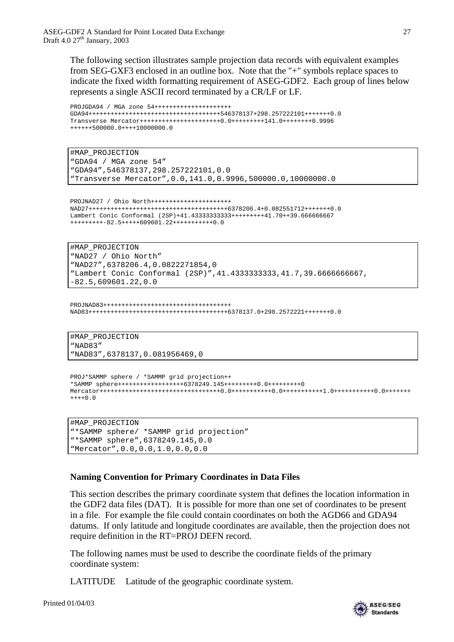The following section illustrates sample projection data records with equivalent examples from SEG-GXF3 enclosed in an outline box. Note that the "+" symbols replace spaces to indicate the fixed width formatting requirement of ASEG-GDF2. Each group of lines below represents a single ASCII record terminated by a CR/LF or LF.

```
PROJGDA94 / MGA zone 54+++++++++++++++++++++
GDA94++++++++++++++++++++++++++++++++++++546378137+298.257222101+++++++0.0
Transverse Mercator++++++++++++++++++++++0.0+++++++++141.0++++++++0.9996
++++++500000.0++++10000000.0
```
#MAP\_PROJECTION "GDA94 / MGA zone 54" "GDA94",546378137,298.257222101,0.0 "Transverse Mercator",0.0,141.0,0.9996,500000.0,10000000.0

PROJNAD27 / Ohio North++++++++++++++++++++++ NAD27++++++++++++++++++++++++++++++++++++++6378206.4+0.082551712+++++++0.0 Lambert Conic Conformal (2SP)+41.43333333333+++++++++41.70++39.666666667 +++++++++-82.5+++++609601.22+++++++++++0.0

#MAP\_PROJECTION "NAD27 / Ohio North" "NAD27",6378206.4,0.0822271854,0 "Lambert Conic Conformal (2SP)",41.4333333333,41.7,39.6666666667, -82.5,609601.22,0.0

```
PROJNAD83+++++++++++++++++++++++++++++++++++
NAD83++++++++++++++++++++++++++++++++++++++6378137.0+298.2572221+++++++0.0
```
#MAP\_PROJECTION "NAD83" "NAD83",6378137,0.081956469,0

```
PROJ*SAMMP sphere / *SAMMP grid projection++
*SAMMP sphere++++++++++++++++++6378249.145+++++++++0.0++++++++++0
Mercator+++++++++++++++++++++++++++++++++0.0+++++++++++0.0+++++++++++1.0+++++++++++0.0+++++++
++++0.0
```

```
#MAP_PROJECTION
"*SAMMP sphere/ *SAMMP grid projection"
"*SAMMP sphere",6378249.145,0.0
"Mercator",0.0,0.0,1.0,0.0,0.0
```
### **Naming Convention for Primary Coordinates in Data Files**

This section describes the primary coordinate system that defines the location information in the GDF2 data files (DAT). It is possible for more than one set of coordinates to be present in a file. For example the file could contain coordinates on both the AGD66 and GDA94 datums. If only latitude and longitude coordinates are available, then the projection does not require definition in the RT=PROJ DEFN record.

The following names must be used to describe the coordinate fields of the primary coordinate system:

LATITUDE Latitude of the geographic coordinate system.

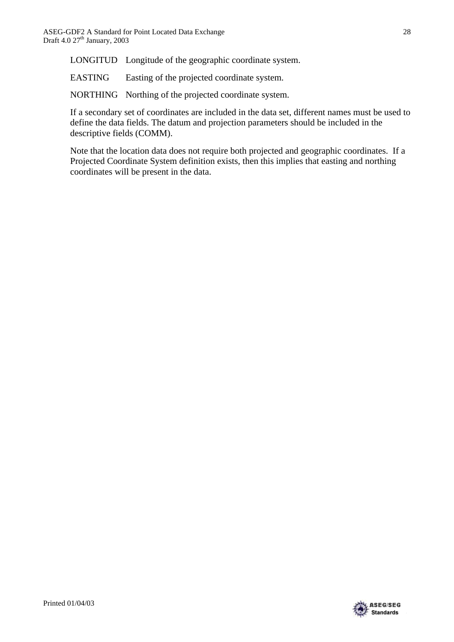LONGITUD Longitude of the geographic coordinate system.

EASTING Easting of the projected coordinate system.

NORTHING Northing of the projected coordinate system.

If a secondary set of coordinates are included in the data set, different names must be used to define the data fields. The datum and projection parameters should be included in the descriptive fields (COMM).

Note that the location data does not require both projected and geographic coordinates. If a Projected Coordinate System definition exists, then this implies that easting and northing coordinates will be present in the data.



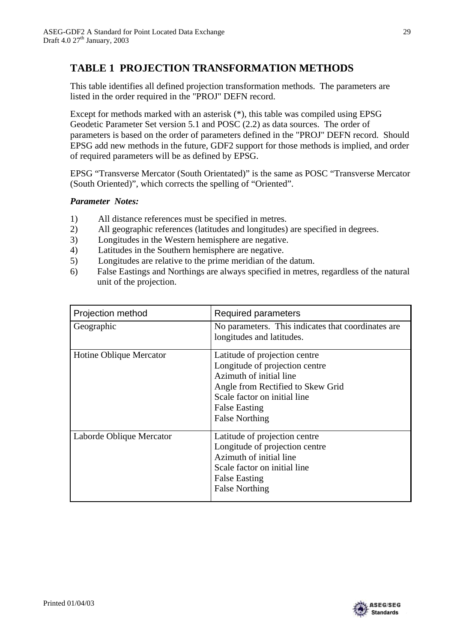### **TABLE 1 PROJECTION TRANSFORMATION METHODS**

This table identifies all defined projection transformation methods. The parameters are listed in the order required in the "PROJ" DEFN record.

Except for methods marked with an asterisk (\*), this table was compiled using EPSG Geodetic Parameter Set version 5.1 and POSC (2.2) as data sources. The order of parameters is based on the order of parameters defined in the "PROJ" DEFN record. Should EPSG add new methods in the future, GDF2 support for those methods is implied, and order of required parameters will be as defined by EPSG.

EPSG "Transverse Mercator (South Orientated)" is the same as POSC "Transverse Mercator (South Oriented)", which corrects the spelling of "Oriented".

#### *Parameter Notes:*

- 1) All distance references must be specified in metres.
- 2) All geographic references (latitudes and longitudes) are specified in degrees.
- 3) Longitudes in the Western hemisphere are negative.
- 4) Latitudes in the Southern hemisphere are negative.
- 5) Longitudes are relative to the prime meridian of the datum.
- 6) False Eastings and Northings are always specified in metres, regardless of the natural unit of the projection.

| Projection method        | Required parameters                                                                                                                                                                                              |
|--------------------------|------------------------------------------------------------------------------------------------------------------------------------------------------------------------------------------------------------------|
| Geographic               | No parameters. This indicates that coordinates are<br>longitudes and latitudes.                                                                                                                                  |
| Hotine Oblique Mercator  | Latitude of projection centre<br>Longitude of projection centre<br>Azimuth of initial line<br>Angle from Rectified to Skew Grid<br>Scale factor on initial line<br><b>False Easting</b><br><b>False Northing</b> |
| Laborde Oblique Mercator | Latitude of projection centre<br>Longitude of projection centre<br>Azimuth of initial line<br>Scale factor on initial line<br><b>False Easting</b><br><b>False Northing</b>                                      |

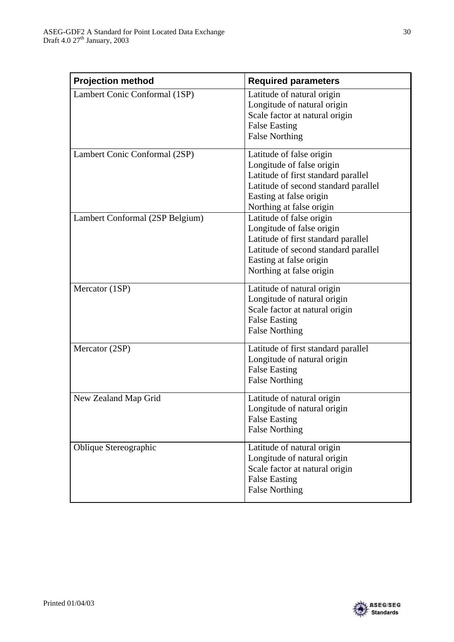| <b>Projection method</b>        | <b>Required parameters</b>                                                                                                                                                                  |
|---------------------------------|---------------------------------------------------------------------------------------------------------------------------------------------------------------------------------------------|
| Lambert Conic Conformal (1SP)   | Latitude of natural origin<br>Longitude of natural origin<br>Scale factor at natural origin<br><b>False Easting</b><br><b>False Northing</b>                                                |
| Lambert Conic Conformal (2SP)   | Latitude of false origin<br>Longitude of false origin<br>Latitude of first standard parallel<br>Latitude of second standard parallel<br>Easting at false origin<br>Northing at false origin |
| Lambert Conformal (2SP Belgium) | Latitude of false origin<br>Longitude of false origin<br>Latitude of first standard parallel<br>Latitude of second standard parallel<br>Easting at false origin<br>Northing at false origin |
| Mercator (1SP)                  | Latitude of natural origin<br>Longitude of natural origin<br>Scale factor at natural origin<br><b>False Easting</b><br><b>False Northing</b>                                                |
| Mercator (2SP)                  | Latitude of first standard parallel<br>Longitude of natural origin<br><b>False Easting</b><br><b>False Northing</b>                                                                         |
| New Zealand Map Grid            | Latitude of natural origin<br>Longitude of natural origin<br><b>False Easting</b><br><b>False Northing</b>                                                                                  |
| Oblique Stereographic           | Latitude of natural origin<br>Longitude of natural origin<br>Scale factor at natural origin<br><b>False Easting</b><br><b>False Northing</b>                                                |

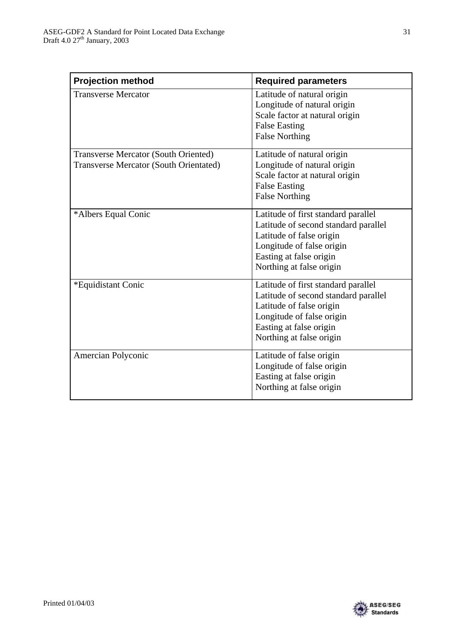| <b>Projection method</b>                                                              | <b>Required parameters</b>                                                                                                                                                                  |
|---------------------------------------------------------------------------------------|---------------------------------------------------------------------------------------------------------------------------------------------------------------------------------------------|
| <b>Transverse Mercator</b>                                                            | Latitude of natural origin<br>Longitude of natural origin<br>Scale factor at natural origin<br><b>False Easting</b><br><b>False Northing</b>                                                |
| <b>Transverse Mercator (South Oriented)</b><br>Transverse Mercator (South Orientated) | Latitude of natural origin<br>Longitude of natural origin<br>Scale factor at natural origin<br><b>False Easting</b><br><b>False Northing</b>                                                |
| *Albers Equal Conic                                                                   | Latitude of first standard parallel<br>Latitude of second standard parallel<br>Latitude of false origin<br>Longitude of false origin<br>Easting at false origin<br>Northing at false origin |
| *Equidistant Conic                                                                    | Latitude of first standard parallel<br>Latitude of second standard parallel<br>Latitude of false origin<br>Longitude of false origin<br>Easting at false origin<br>Northing at false origin |
| Amercian Polyconic                                                                    | Latitude of false origin<br>Longitude of false origin<br>Easting at false origin<br>Northing at false origin                                                                                |

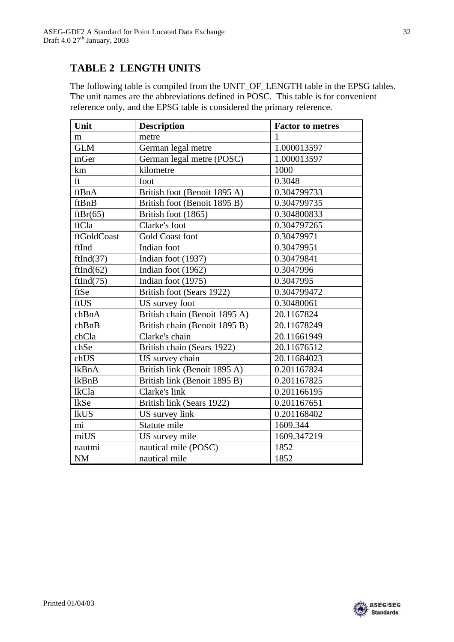## **TABLE 2 LENGTH UNITS**

The following table is compiled from the UNIT\_OF\_LENGTH table in the EPSG tables. The unit names are the abbreviations defined in POSC. This table is for convenient reference only, and the EPSG table is considered the primary reference.

| Unit        | <b>Description</b>            | <b>Factor to metres</b> |
|-------------|-------------------------------|-------------------------|
| m           | metre                         |                         |
| <b>GLM</b>  | German legal metre            | 1.000013597             |
| mGer        | German legal metre (POSC)     | 1.000013597             |
| km          | kilometre                     | 1000                    |
| ft          | foot                          | 0.3048                  |
| ftBnA       | British foot (Benoit 1895 A)  | 0.304799733             |
| ftBnB       | British foot (Benoit 1895 B)  | 0.304799735             |
| ftBr(65)    | British foot (1865)           | 0.304800833             |
| ftCla       | Clarke's foot                 | 0.304797265             |
| ftGoldCoast | <b>Gold Coast foot</b>        | 0.30479971              |
| ftInd       | Indian foot                   | 0.30479951              |
| ftInd(37)   | Indian foot (1937)            | 0.30479841              |
| ftInd(62)   | Indian foot (1962)            | 0.3047996               |
| ftInd(75)   | Indian foot (1975)            | 0.3047995               |
| ftSe        | British foot (Sears 1922)     | 0.304799472             |
| ftUS        | US survey foot                | 0.30480061              |
| chBnA       | British chain (Benoit 1895 A) | 20.1167824              |
| chBnB       | British chain (Benoit 1895 B) | 20.11678249             |
| chCla       | Clarke's chain                | 20.11661949             |
| chSe        | British chain (Sears 1922)    | 20.11676512             |
| chUS        | US survey chain               | 20.11684023             |
| lkBnA       | British link (Benoit 1895 A)  | 0.201167824             |
| lkBnB       | British link (Benoit 1895 B)  | 0.201167825             |
| lkCla       | Clarke's link                 | 0.201166195             |
| <b>lkSe</b> | British link (Sears 1922)     | 0.201167651             |
| <b>lkUS</b> | US survey link                | 0.201168402             |
| mi          | Statute mile                  | 1609.344                |
| miUS        | US survey mile                | 1609.347219             |
| nautmi      | nautical mile (POSC)          | 1852                    |
| <b>NM</b>   | nautical mile                 | 1852                    |